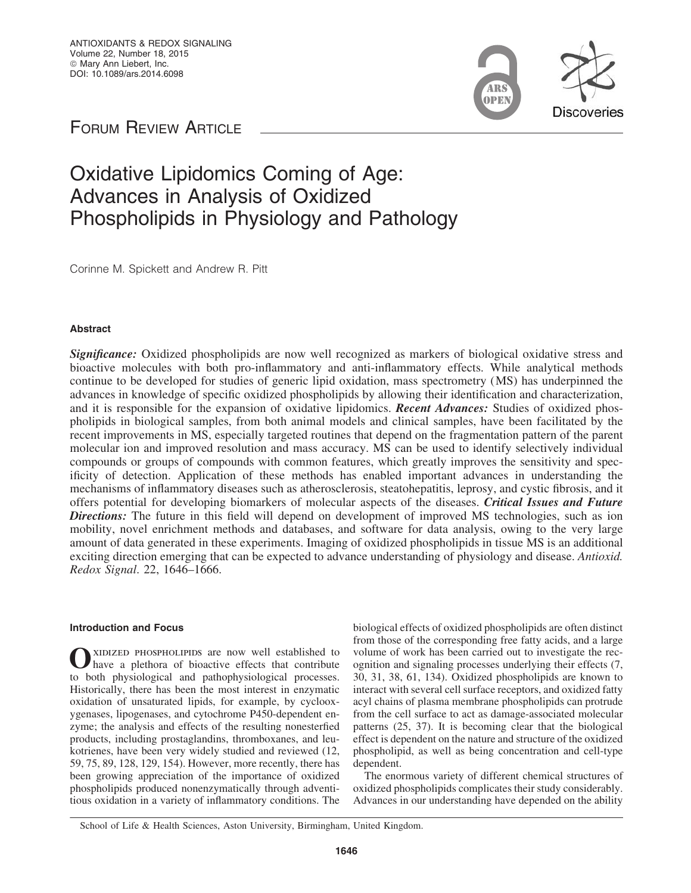**Discoveries** 

FORUM REVIEW ARTICLE

# Oxidative Lipidomics Coming of Age: Advances in Analysis of Oxidized Phospholipids in Physiology and Pathology

Corinne M. Spickett and Andrew R. Pitt

# Abstract

Significance: Oxidized phospholipids are now well recognized as markers of biological oxidative stress and bioactive molecules with both pro-inflammatory and anti-inflammatory effects. While analytical methods continue to be developed for studies of generic lipid oxidation, mass spectrometry (MS) has underpinned the advances in knowledge of specific oxidized phospholipids by allowing their identification and characterization, and it is responsible for the expansion of oxidative lipidomics. **Recent Advances:** Studies of oxidized phospholipids in biological samples, from both animal models and clinical samples, have been facilitated by the recent improvements in MS, especially targeted routines that depend on the fragmentation pattern of the parent molecular ion and improved resolution and mass accuracy. MS can be used to identify selectively individual compounds or groups of compounds with common features, which greatly improves the sensitivity and specificity of detection. Application of these methods has enabled important advances in understanding the mechanisms of inflammatory diseases such as atherosclerosis, steatohepatitis, leprosy, and cystic fibrosis, and it offers potential for developing biomarkers of molecular aspects of the diseases. Critical Issues and Future **Directions:** The future in this field will depend on development of improved MS technologies, such as ion mobility, novel enrichment methods and databases, and software for data analysis, owing to the very large amount of data generated in these experiments. Imaging of oxidized phospholipids in tissue MS is an additional exciting direction emerging that can be expected to advance understanding of physiology and disease. *Antioxid. Redox Signal*. 22, 1646–1666.

## Introduction and Focus

OXIDIZED PHOSPHOLIPIDS are now well established to have a plethora of bioactive effects that contribute to both physiological and pathophysiological processes. Historically, there has been the most interest in enzymatic oxidation of unsaturated lipids, for example, by cyclooxygenases, lipogenases, and cytochrome P450-dependent enzyme; the analysis and effects of the resulting nonesterfied products, including prostaglandins, thromboxanes, and leukotrienes, have been very widely studied and reviewed (12, 59, 75, 89, 128, 129, 154). However, more recently, there has been growing appreciation of the importance of oxidized phospholipids produced nonenzymatically through adventitious oxidation in a variety of inflammatory conditions. The biological effects of oxidized phospholipids are often distinct from those of the corresponding free fatty acids, and a large volume of work has been carried out to investigate the recognition and signaling processes underlying their effects (7, 30, 31, 38, 61, 134). Oxidized phospholipids are known to interact with several cell surface receptors, and oxidized fatty acyl chains of plasma membrane phospholipids can protrude from the cell surface to act as damage-associated molecular patterns (25, 37). It is becoming clear that the biological effect is dependent on the nature and structure of the oxidized phospholipid, as well as being concentration and cell-type dependent.

The enormous variety of different chemical structures of oxidized phospholipids complicates their study considerably. Advances in our understanding have depended on the ability

School of Life & Health Sciences, Aston University, Birmingham, United Kingdom.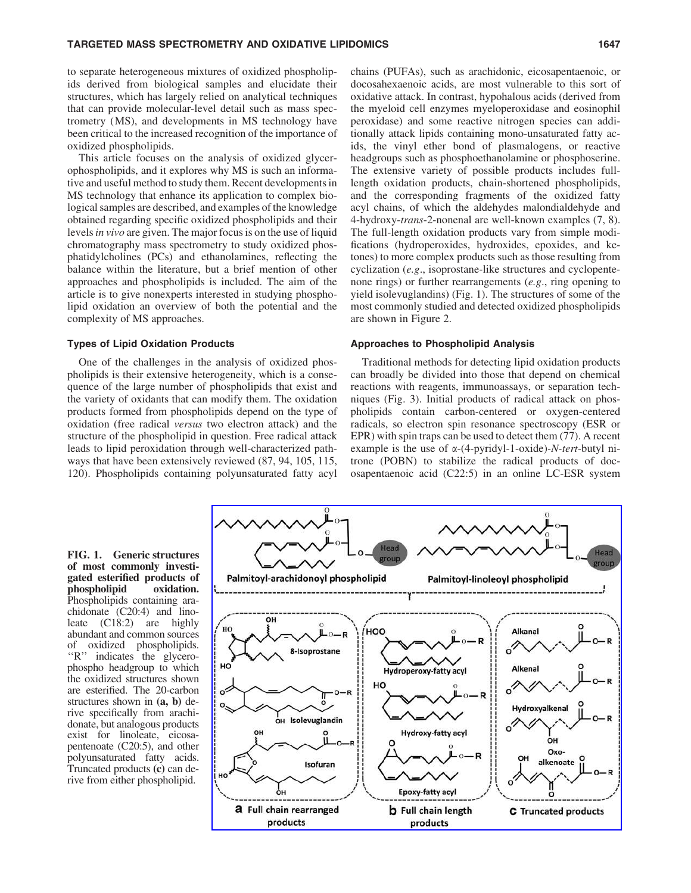to separate heterogeneous mixtures of oxidized phospholipids derived from biological samples and elucidate their structures, which has largely relied on analytical techniques that can provide molecular-level detail such as mass spectrometry (MS), and developments in MS technology have been critical to the increased recognition of the importance of oxidized phospholipids.

This article focuses on the analysis of oxidized glycerophospholipids, and it explores why MS is such an informative and useful method to study them. Recent developments in MS technology that enhance its application to complex biological samples are described, and examples of the knowledge obtained regarding specific oxidized phospholipids and their levels*in vivo* are given. The major focus is on the use of liquid chromatography mass spectrometry to study oxidized phosphatidylcholines (PCs) and ethanolamines, reflecting the balance within the literature, but a brief mention of other approaches and phospholipids is included. The aim of the article is to give nonexperts interested in studying phospholipid oxidation an overview of both the potential and the complexity of MS approaches.

#### Types of Lipid Oxidation Products

One of the challenges in the analysis of oxidized phospholipids is their extensive heterogeneity, which is a consequence of the large number of phospholipids that exist and the variety of oxidants that can modify them. The oxidation products formed from phospholipids depend on the type of oxidation (free radical *versus* two electron attack) and the structure of the phospholipid in question. Free radical attack leads to lipid peroxidation through well-characterized pathways that have been extensively reviewed (87, 94, 105, 115, 120). Phospholipids containing polyunsaturated fatty acyl chains (PUFAs), such as arachidonic, eicosapentaenoic, or docosahexaenoic acids, are most vulnerable to this sort of oxidative attack. In contrast, hypohalous acids (derived from the myeloid cell enzymes myeloperoxidase and eosinophil peroxidase) and some reactive nitrogen species can additionally attack lipids containing mono-unsaturated fatty acids, the vinyl ether bond of plasmalogens, or reactive headgroups such as phosphoethanolamine or phosphoserine. The extensive variety of possible products includes fulllength oxidation products, chain-shortened phospholipids, and the corresponding fragments of the oxidized fatty acyl chains, of which the aldehydes malondialdehyde and 4-hydroxy-*trans*-2-nonenal are well-known examples (7, 8). The full-length oxidation products vary from simple modifications (hydroperoxides, hydroxides, epoxides, and ketones) to more complex products such as those resulting from cyclization (*e.g*., isoprostane-like structures and cyclopentenone rings) or further rearrangements (*e.g*., ring opening to yield isolevuglandins) (Fig. 1). The structures of some of the most commonly studied and detected oxidized phospholipids are shown in Figure 2.

## Approaches to Phospholipid Analysis

Traditional methods for detecting lipid oxidation products can broadly be divided into those that depend on chemical reactions with reagents, immunoassays, or separation techniques (Fig. 3). Initial products of radical attack on phospholipids contain carbon-centered or oxygen-centered radicals, so electron spin resonance spectroscopy (ESR or EPR) with spin traps can be used to detect them (77). A recent example is the use of a-(4-pyridyl-1-oxide)*-N-tert*-butyl nitrone (POBN) to stabilize the radical products of docosapentaenoic acid (C22:5) in an online LC-ESR system

FIG. 1. Generic structures of most commonly investigated esterified products of phospholipid oxidation. Phospholipids containing arachidonate (C20:4) and linoleate (C18:2) are highly abundant and common sources of oxidized phospholipids. "R" indicates the glycerophospho headgroup to which the oxidized structures shown are esterified. The 20-carbon structures shown in (a, b) derive specifically from arachidonate, but analogous products exist for linoleate, eicosapentenoate (C20:5), and other polyunsaturated fatty acids. Truncated products (c) can derive from either phospholipid.

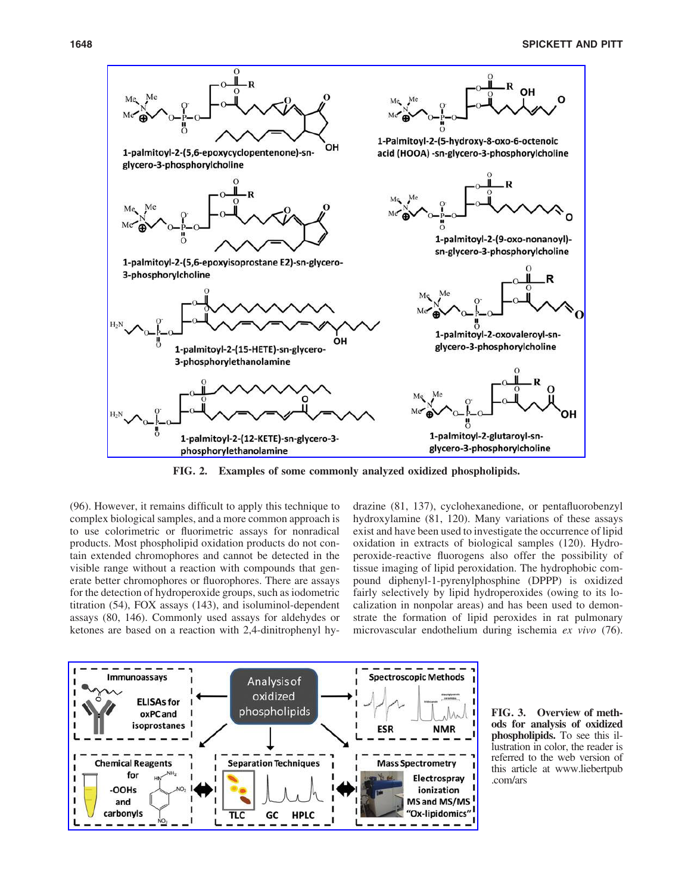

FIG. 2. Examples of some commonly analyzed oxidized phospholipids.

(96). However, it remains difficult to apply this technique to complex biological samples, and a more common approach is to use colorimetric or fluorimetric assays for nonradical products. Most phospholipid oxidation products do not contain extended chromophores and cannot be detected in the visible range without a reaction with compounds that generate better chromophores or fluorophores. There are assays for the detection of hydroperoxide groups, such as iodometric titration (54), FOX assays (143), and isoluminol-dependent assays (80, 146). Commonly used assays for aldehydes or ketones are based on a reaction with 2,4-dinitrophenyl hydrazine (81, 137), cyclohexanedione, or pentafluorobenzyl hydroxylamine (81, 120). Many variations of these assays exist and have been used to investigate the occurrence of lipid oxidation in extracts of biological samples (120). Hydroperoxide-reactive fluorogens also offer the possibility of tissue imaging of lipid peroxidation. The hydrophobic compound diphenyl-1-pyrenylphosphine (DPPP) is oxidized fairly selectively by lipid hydroperoxides (owing to its localization in nonpolar areas) and has been used to demonstrate the formation of lipid peroxides in rat pulmonary microvascular endothelium during ischemia *ex vivo* (76).



FIG. 3. Overview of methods for analysis of oxidized phospholipids. To see this illustration in color, the reader is referred to the web version of this article at www.liebertpub .com/ars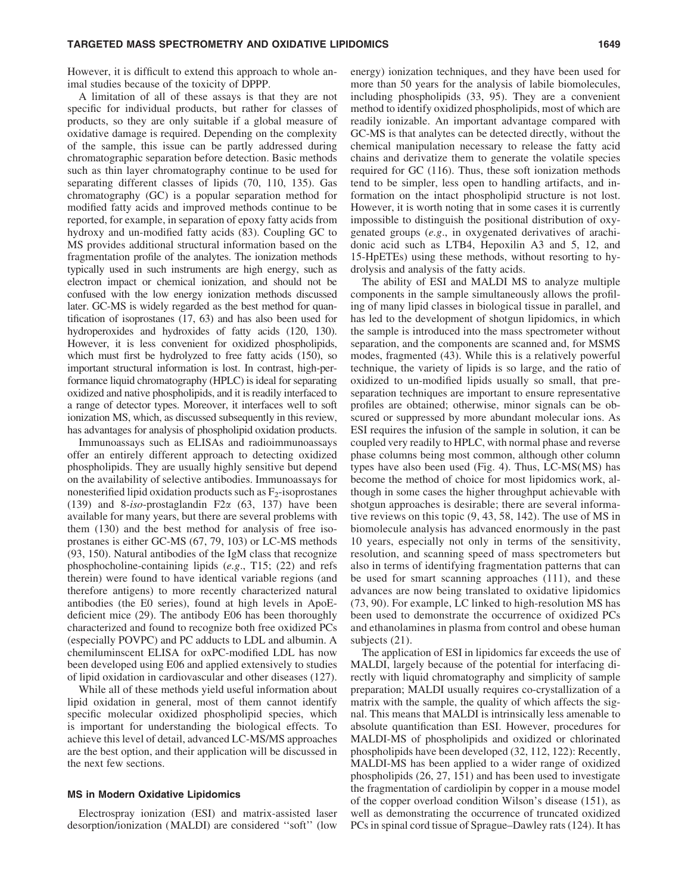However, it is difficult to extend this approach to whole animal studies because of the toxicity of DPPP.

A limitation of all of these assays is that they are not specific for individual products, but rather for classes of products, so they are only suitable if a global measure of oxidative damage is required. Depending on the complexity of the sample, this issue can be partly addressed during chromatographic separation before detection. Basic methods such as thin layer chromatography continue to be used for separating different classes of lipids (70, 110, 135). Gas chromatography (GC) is a popular separation method for modified fatty acids and improved methods continue to be reported, for example, in separation of epoxy fatty acids from hydroxy and un-modified fatty acids (83). Coupling GC to MS provides additional structural information based on the fragmentation profile of the analytes. The ionization methods typically used in such instruments are high energy, such as electron impact or chemical ionization, and should not be confused with the low energy ionization methods discussed later. GC-MS is widely regarded as the best method for quantification of isoprostanes (17, 63) and has also been used for hydroperoxides and hydroxides of fatty acids (120, 130). However, it is less convenient for oxidized phospholipids, which must first be hydrolyzed to free fatty acids (150), so important structural information is lost. In contrast, high-performance liquid chromatography (HPLC) is ideal for separating oxidized and native phospholipids, and it is readily interfaced to a range of detector types. Moreover, it interfaces well to soft ionization MS, which, as discussed subsequently in this review, has advantages for analysis of phospholipid oxidation products.

Immunoassays such as ELISAs and radioimmunoassays offer an entirely different approach to detecting oxidized phospholipids. They are usually highly sensitive but depend on the availability of selective antibodies. Immunoassays for nonesterified lipid oxidation products such as  $F_2$ -isoprostanes (139) and 8-*iso*-prostaglandin F2a (63, 137) have been available for many years, but there are several problems with them (130) and the best method for analysis of free isoprostanes is either GC-MS (67, 79, 103) or LC-MS methods (93, 150). Natural antibodies of the IgM class that recognize phosphocholine-containing lipids (*e.g*., T15; (22) and refs therein) were found to have identical variable regions (and therefore antigens) to more recently characterized natural antibodies (the E0 series), found at high levels in ApoEdeficient mice (29). The antibody E06 has been thoroughly characterized and found to recognize both free oxidized PCs (especially POVPC) and PC adducts to LDL and albumin. A chemiluminscent ELISA for oxPC-modified LDL has now been developed using E06 and applied extensively to studies of lipid oxidation in cardiovascular and other diseases (127).

While all of these methods yield useful information about lipid oxidation in general, most of them cannot identify specific molecular oxidized phospholipid species, which is important for understanding the biological effects. To achieve this level of detail, advanced LC-MS/MS approaches are the best option, and their application will be discussed in the next few sections.

## MS in Modern Oxidative Lipidomics

Electrospray ionization (ESI) and matrix-assisted laser desorption/ionization (MALDI) are considered ''soft'' (low

energy) ionization techniques, and they have been used for more than 50 years for the analysis of labile biomolecules, including phospholipids (33, 95). They are a convenient method to identify oxidized phospholipids, most of which are readily ionizable. An important advantage compared with GC-MS is that analytes can be detected directly, without the chemical manipulation necessary to release the fatty acid chains and derivatize them to generate the volatile species required for GC (116). Thus, these soft ionization methods tend to be simpler, less open to handling artifacts, and information on the intact phospholipid structure is not lost. However, it is worth noting that in some cases it is currently impossible to distinguish the positional distribution of oxygenated groups (*e.g*., in oxygenated derivatives of arachidonic acid such as LTB4, Hepoxilin A3 and 5, 12, and 15-HpETEs) using these methods, without resorting to hydrolysis and analysis of the fatty acids.

The ability of ESI and MALDI MS to analyze multiple components in the sample simultaneously allows the profiling of many lipid classes in biological tissue in parallel, and has led to the development of shotgun lipidomics, in which the sample is introduced into the mass spectrometer without separation, and the components are scanned and, for MSMS modes, fragmented (43). While this is a relatively powerful technique, the variety of lipids is so large, and the ratio of oxidized to un-modified lipids usually so small, that preseparation techniques are important to ensure representative profiles are obtained; otherwise, minor signals can be obscured or suppressed by more abundant molecular ions. As ESI requires the infusion of the sample in solution, it can be coupled very readily to HPLC, with normal phase and reverse phase columns being most common, although other column types have also been used (Fig. 4). Thus, LC-MS(MS) has become the method of choice for most lipidomics work, although in some cases the higher throughput achievable with shotgun approaches is desirable; there are several informative reviews on this topic (9, 43, 58, 142). The use of MS in biomolecule analysis has advanced enormously in the past 10 years, especially not only in terms of the sensitivity, resolution, and scanning speed of mass spectrometers but also in terms of identifying fragmentation patterns that can be used for smart scanning approaches (111), and these advances are now being translated to oxidative lipidomics (73, 90). For example, LC linked to high-resolution MS has been used to demonstrate the occurrence of oxidized PCs and ethanolamines in plasma from control and obese human subjects (21).

The application of ESI in lipidomics far exceeds the use of MALDI, largely because of the potential for interfacing directly with liquid chromatography and simplicity of sample preparation; MALDI usually requires co-crystallization of a matrix with the sample, the quality of which affects the signal. This means that MALDI is intrinsically less amenable to absolute quantification than ESI. However, procedures for MALDI-MS of phospholipids and oxidized or chlorinated phospholipids have been developed (32, 112, 122): Recently, MALDI-MS has been applied to a wider range of oxidized phospholipids (26, 27, 151) and has been used to investigate the fragmentation of cardiolipin by copper in a mouse model of the copper overload condition Wilson's disease (151), as well as demonstrating the occurrence of truncated oxidized PCs in spinal cord tissue of Sprague–Dawley rats (124). It has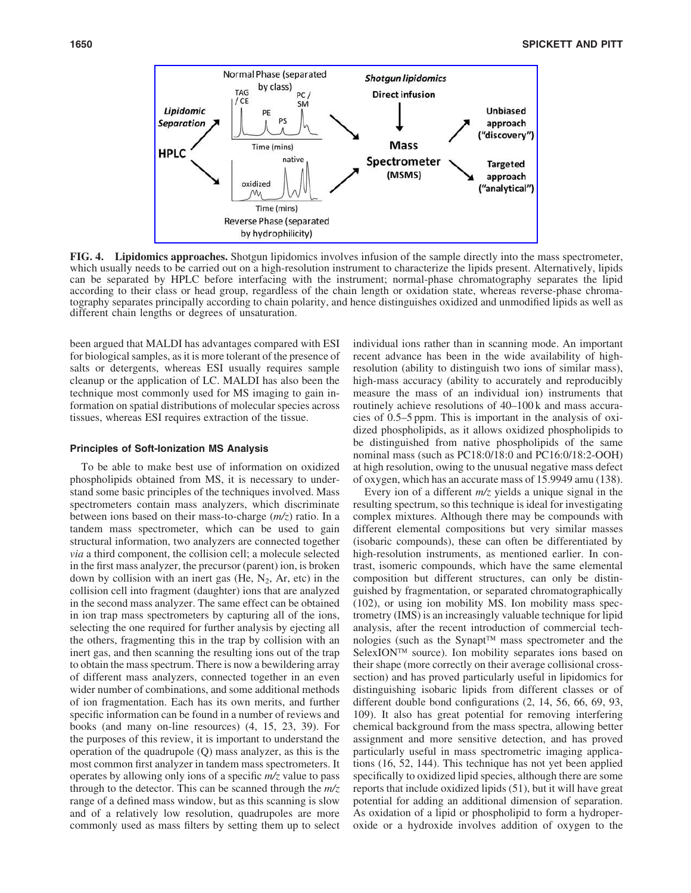

FIG. 4. Lipidomics approaches. Shotgun lipidomics involves infusion of the sample directly into the mass spectrometer, which usually needs to be carried out on a high-resolution instrument to characterize the lipids present. Alternatively, lipids can be separated by HPLC before interfacing with the instrument; normal-phase chromatography separates the lipid according to their class or head group, regardless of the chain length or oxidation state, whereas reverse-phase chromatography separates principally according to chain polarity, and hence distinguishes oxidized and unmodified lipids as well as different chain lengths or degrees of unsaturation.

been argued that MALDI has advantages compared with ESI for biological samples, as it is more tolerant of the presence of salts or detergents, whereas ESI usually requires sample cleanup or the application of LC. MALDI has also been the technique most commonly used for MS imaging to gain information on spatial distributions of molecular species across tissues, whereas ESI requires extraction of the tissue.

#### Principles of Soft-Ionization MS Analysis

To be able to make best use of information on oxidized phospholipids obtained from MS, it is necessary to understand some basic principles of the techniques involved. Mass spectrometers contain mass analyzers, which discriminate between ions based on their mass-to-charge (*m/z*) ratio. In a tandem mass spectrometer, which can be used to gain structural information, two analyzers are connected together *via* a third component, the collision cell; a molecule selected in the first mass analyzer, the precursor (parent) ion, is broken down by collision with an inert gas (He,  $N_2$ , Ar, etc) in the collision cell into fragment (daughter) ions that are analyzed in the second mass analyzer. The same effect can be obtained in ion trap mass spectrometers by capturing all of the ions, selecting the one required for further analysis by ejecting all the others, fragmenting this in the trap by collision with an inert gas, and then scanning the resulting ions out of the trap to obtain the mass spectrum. There is now a bewildering array of different mass analyzers, connected together in an even wider number of combinations, and some additional methods of ion fragmentation. Each has its own merits, and further specific information can be found in a number of reviews and books (and many on-line resources) (4, 15, 23, 39). For the purposes of this review, it is important to understand the operation of the quadrupole (Q) mass analyzer, as this is the most common first analyzer in tandem mass spectrometers. It operates by allowing only ions of a specific *m/z* value to pass through to the detector. This can be scanned through the *m/z* range of a defined mass window, but as this scanning is slow and of a relatively low resolution, quadrupoles are more commonly used as mass filters by setting them up to select individual ions rather than in scanning mode. An important recent advance has been in the wide availability of highresolution (ability to distinguish two ions of similar mass), high-mass accuracy (ability to accurately and reproducibly measure the mass of an individual ion) instruments that routinely achieve resolutions of 40–100 k and mass accuracies of 0.5–5 ppm. This is important in the analysis of oxidized phospholipids, as it allows oxidized phospholipids to be distinguished from native phospholipids of the same nominal mass (such as PC18:0/18:0 and PC16:0/18:2-OOH) at high resolution, owing to the unusual negative mass defect of oxygen, which has an accurate mass of 15.9949 amu (138).

Every ion of a different *m/z* yields a unique signal in the resulting spectrum, so this technique is ideal for investigating complex mixtures. Although there may be compounds with different elemental compositions but very similar masses (isobaric compounds), these can often be differentiated by high-resolution instruments, as mentioned earlier. In contrast, isomeric compounds, which have the same elemental composition but different structures, can only be distinguished by fragmentation, or separated chromatographically (102), or using ion mobility MS. Ion mobility mass spectrometry (IMS) is an increasingly valuable technique for lipid analysis, after the recent introduction of commercial technologies (such as the Synapt™ mass spectrometer and the SelexION<sup>™</sup> source). Ion mobility separates ions based on their shape (more correctly on their average collisional crosssection) and has proved particularly useful in lipidomics for distinguishing isobaric lipids from different classes or of different double bond configurations (2, 14, 56, 66, 69, 93, 109). It also has great potential for removing interfering chemical background from the mass spectra, allowing better assignment and more sensitive detection, and has proved particularly useful in mass spectrometric imaging applications (16, 52, 144). This technique has not yet been applied specifically to oxidized lipid species, although there are some reports that include oxidized lipids (51), but it will have great potential for adding an additional dimension of separation. As oxidation of a lipid or phospholipid to form a hydroperoxide or a hydroxide involves addition of oxygen to the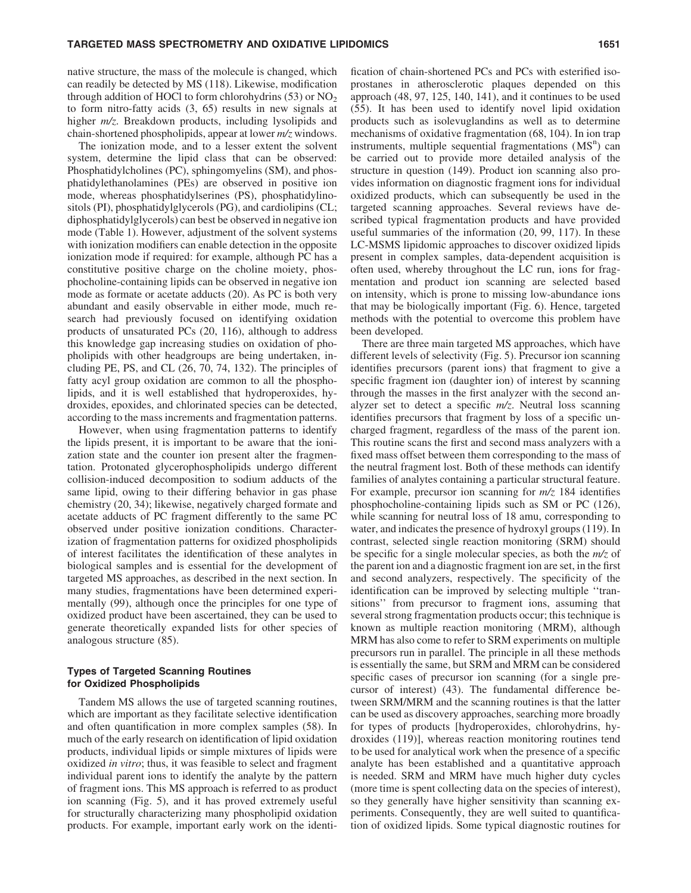native structure, the mass of the molecule is changed, which can readily be detected by MS (118). Likewise, modification through addition of HOCl to form chlorohydrins  $(53)$  or NO<sub>2</sub> to form nitro-fatty acids (3, 65) results in new signals at higher *m/z*. Breakdown products, including lysolipids and chain-shortened phospholipids, appear at lower *m/z* windows.

The ionization mode, and to a lesser extent the solvent system, determine the lipid class that can be observed: Phosphatidylcholines (PC), sphingomyelins (SM), and phosphatidylethanolamines (PEs) are observed in positive ion mode, whereas phosphatidylserines (PS), phosphatidylinositols (PI), phosphatidylglycerols (PG), and cardiolipins (CL; diphosphatidylglycerols) can best be observed in negative ion mode (Table 1). However, adjustment of the solvent systems with ionization modifiers can enable detection in the opposite ionization mode if required: for example, although PC has a constitutive positive charge on the choline moiety, phosphocholine-containing lipids can be observed in negative ion mode as formate or acetate adducts (20). As PC is both very abundant and easily observable in either mode, much research had previously focused on identifying oxidation products of unsaturated PCs (20, 116), although to address this knowledge gap increasing studies on oxidation of phopholipids with other headgroups are being undertaken, including PE, PS, and CL (26, 70, 74, 132). The principles of fatty acyl group oxidation are common to all the phospholipids, and it is well established that hydroperoxides, hydroxides, epoxides, and chlorinated species can be detected, according to the mass increments and fragmentation patterns.

However, when using fragmentation patterns to identify the lipids present, it is important to be aware that the ionization state and the counter ion present alter the fragmentation. Protonated glycerophospholipids undergo different collision-induced decomposition to sodium adducts of the same lipid, owing to their differing behavior in gas phase chemistry (20, 34); likewise, negatively charged formate and acetate adducts of PC fragment differently to the same PC observed under positive ionization conditions. Characterization of fragmentation patterns for oxidized phospholipids of interest facilitates the identification of these analytes in biological samples and is essential for the development of targeted MS approaches, as described in the next section. In many studies, fragmentations have been determined experimentally (99), although once the principles for one type of oxidized product have been ascertained, they can be used to generate theoretically expanded lists for other species of analogous structure (85).

## Types of Targeted Scanning Routines for Oxidized Phospholipids

Tandem MS allows the use of targeted scanning routines, which are important as they facilitate selective identification and often quantification in more complex samples (58). In much of the early research on identification of lipid oxidation products, individual lipids or simple mixtures of lipids were oxidized *in vitro*; thus, it was feasible to select and fragment individual parent ions to identify the analyte by the pattern of fragment ions. This MS approach is referred to as product ion scanning (Fig. 5), and it has proved extremely useful for structurally characterizing many phospholipid oxidation products. For example, important early work on the identification of chain-shortened PCs and PCs with esterified isoprostanes in atherosclerotic plaques depended on this approach (48, 97, 125, 140, 141), and it continues to be used (55). It has been used to identify novel lipid oxidation products such as isolevuglandins as well as to determine mechanisms of oxidative fragmentation (68, 104). In ion trap instruments, multiple sequential fragmentations  $(MS<sup>n</sup>)$  can be carried out to provide more detailed analysis of the structure in question (149). Product ion scanning also provides information on diagnostic fragment ions for individual oxidized products, which can subsequently be used in the targeted scanning approaches. Several reviews have described typical fragmentation products and have provided useful summaries of the information (20, 99, 117). In these LC-MSMS lipidomic approaches to discover oxidized lipids present in complex samples, data-dependent acquisition is often used, whereby throughout the LC run, ions for fragmentation and product ion scanning are selected based on intensity, which is prone to missing low-abundance ions that may be biologically important (Fig. 6). Hence, targeted methods with the potential to overcome this problem have been developed.

There are three main targeted MS approaches, which have different levels of selectivity (Fig. 5). Precursor ion scanning identifies precursors (parent ions) that fragment to give a specific fragment ion (daughter ion) of interest by scanning through the masses in the first analyzer with the second analyzer set to detect a specific *m/z*. Neutral loss scanning identifies precursors that fragment by loss of a specific uncharged fragment, regardless of the mass of the parent ion. This routine scans the first and second mass analyzers with a fixed mass offset between them corresponding to the mass of the neutral fragment lost. Both of these methods can identify families of analytes containing a particular structural feature. For example, precursor ion scanning for *m/z* 184 identifies phosphocholine-containing lipids such as SM or PC (126), while scanning for neutral loss of 18 amu, corresponding to water, and indicates the presence of hydroxyl groups (119). In contrast, selected single reaction monitoring (SRM) should be specific for a single molecular species, as both the *m/z* of the parent ion and a diagnostic fragment ion are set, in the first and second analyzers, respectively. The specificity of the identification can be improved by selecting multiple ''transitions'' from precursor to fragment ions, assuming that several strong fragmentation products occur; this technique is known as multiple reaction monitoring (MRM), although MRM has also come to refer to SRM experiments on multiple precursors run in parallel. The principle in all these methods is essentially the same, but SRM and MRM can be considered specific cases of precursor ion scanning (for a single precursor of interest) (43). The fundamental difference between SRM/MRM and the scanning routines is that the latter can be used as discovery approaches, searching more broadly for types of products [hydroperoxides, chlorohydrins, hydroxides (119)], whereas reaction monitoring routines tend to be used for analytical work when the presence of a specific analyte has been established and a quantitative approach is needed. SRM and MRM have much higher duty cycles (more time is spent collecting data on the species of interest), so they generally have higher sensitivity than scanning experiments. Consequently, they are well suited to quantification of oxidized lipids. Some typical diagnostic routines for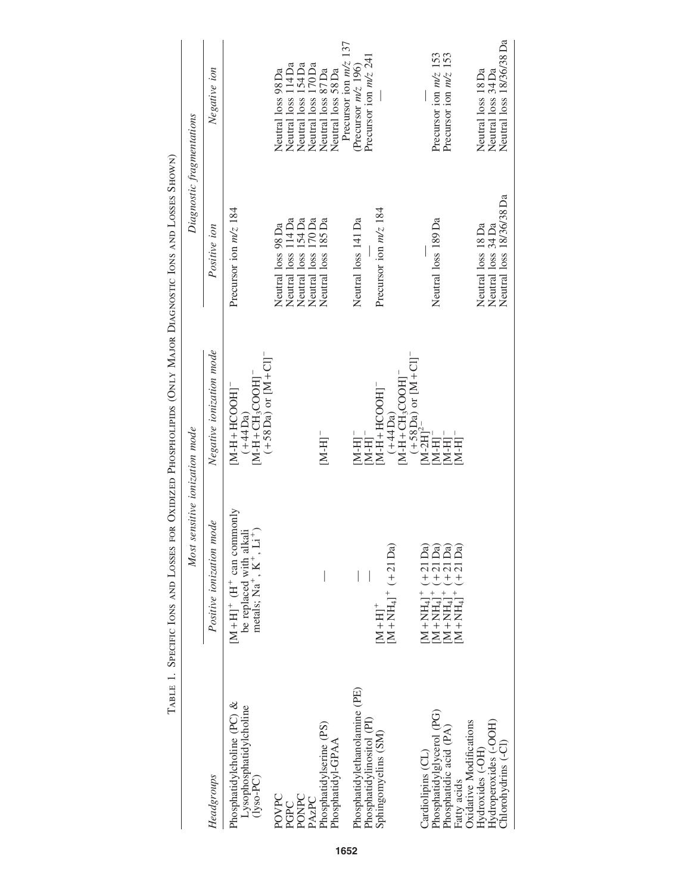|                                                                                             | THE STRAIGHT OF THE STRAIGHT STRAIGHT THAT I CHARGE THE CHARGE THE STRAIGHT OF THE STRAIGHT OF THE STRAIGHT OF THE STRAIGHT OF THE STRAIGHT OF THE STRAIGHT OF THE STRAIGHT OF THE STRAIGHT OF THE STRAIGHT OF THE STRAIGHT OF<br>Most sensitive ionization mode |                                                                                                                              | Diagnostic fragmentations                                            |                                                                           |
|---------------------------------------------------------------------------------------------|------------------------------------------------------------------------------------------------------------------------------------------------------------------------------------------------------------------------------------------------------------------|------------------------------------------------------------------------------------------------------------------------------|----------------------------------------------------------------------|---------------------------------------------------------------------------|
| Headgroups                                                                                  | mode<br>Positive ionization                                                                                                                                                                                                                                      | Negative ionization mode                                                                                                     | Positive ion                                                         | Negative ion                                                              |
| Phosphatidylcholine (PC) &<br>Lysophosphatidylcholine<br>$(1$ yso-PC)                       | $[M+H]^+$ ( $H^+$ can commonly<br>be replaced with alkali metals; $\mathrm{Na}^+$ , $\mathrm{K}^+$ , $\mathrm{K}^+$ , $\mathrm{Li}^+)$                                                                                                                           | $(+58\,\text{Da})$ or $[M + Cl]$<br>$[M-H+CH3COOH]$<br>$[M-H+HCOOH]$<br>$(+44Da)$                                            | Precursor ion m/z 184                                                |                                                                           |
| POVPC<br>PONPC<br>PGPC                                                                      |                                                                                                                                                                                                                                                                  |                                                                                                                              | Neutral loss 114 Da<br>Neutral loss 154 Da<br>Neutral loss 98 Da     | Neutral loss 114 Da<br>Neutral loss 154 Da<br>Neutral loss 98 Da          |
| Phosphatidylserine (PS)<br>Phosphatidyl-GPAA<br>PAzPC                                       |                                                                                                                                                                                                                                                                  | $[M-H]$ <sup>-</sup>                                                                                                         | Neutral loss 185 Da<br>Neutral loss 170 Da                           | Neutral loss 170 Da<br>Neutral loss 87 Da<br>Neutral loss 58 Da           |
| Phosphatidylethanolamine (PE)<br>Phosphatidylinositol (PI)<br>Sphingomyelins (SM)           | $M + NH4$ <sup>+</sup> (+21 Da)<br>$[M+H]$ <sup>+</sup>                                                                                                                                                                                                          | $[M-H+CH3COOH]$<br>$[M-H+HCOOH]$<br>$(+44Da)$<br>$M-H$ <sup>-</sup><br>$M-H$ ] $^{-}$                                        | Precursor ion $m/z$ 184<br>Neutral loss 141 Da                       | Precursor ion $m/z$ 137<br>Precursor ion m/z 241<br>(Precursor $m/z$ 196) |
| Phosphatidylglycerol (PG)<br>Phosphatidic acid (PA)<br>Cardiolipins (CL)<br>Fatty acids     | $[M+NH_4]^+ (+21 Da)$ $[M+NH_4]^+ (+21 Da)$ $[M+NH_4]^+ (+21 Da)$ $[M+NH_4]^+ (+21 Da)$                                                                                                                                                                          | $(+58\,\text{Da})$ or $[M + CI]$ <sup>-</sup><br>[M-2H] <sup>2-</sup><br>$M-H$ <sup>-</sup><br>$M-H$ <sup>-</sup><br>$[H-N]$ | Neutral loss 189 Da                                                  | Precursor ion $m/z$ 153<br>Precursor ion $m/z$ 153                        |
| Hydroperoxides (-OOH)<br>Oxidative Modifications<br>Chlorohydrins (-Cl)<br>Hydroxides (-OH) |                                                                                                                                                                                                                                                                  |                                                                                                                              | Neutral loss 18/36/38 Da<br>Neutral loss 34 Da<br>Neutral loss 18 Da | Neutral loss 18/36/38 Da<br>Neutral loss 18 Da<br>Neutral loss 34 Da      |

TABLE 1. SPECIFIC IONS AND LOSSES FOR OXIDIZED PHOSPHOLIPIDS (ONLY MAJOR DIAGNOSTIC IONS AND LOSSES SHOWN) Table 1. Specific Ions and Losses for Oxidized Phospholipids (Only Major Diagnostic Ions and Losses Shown)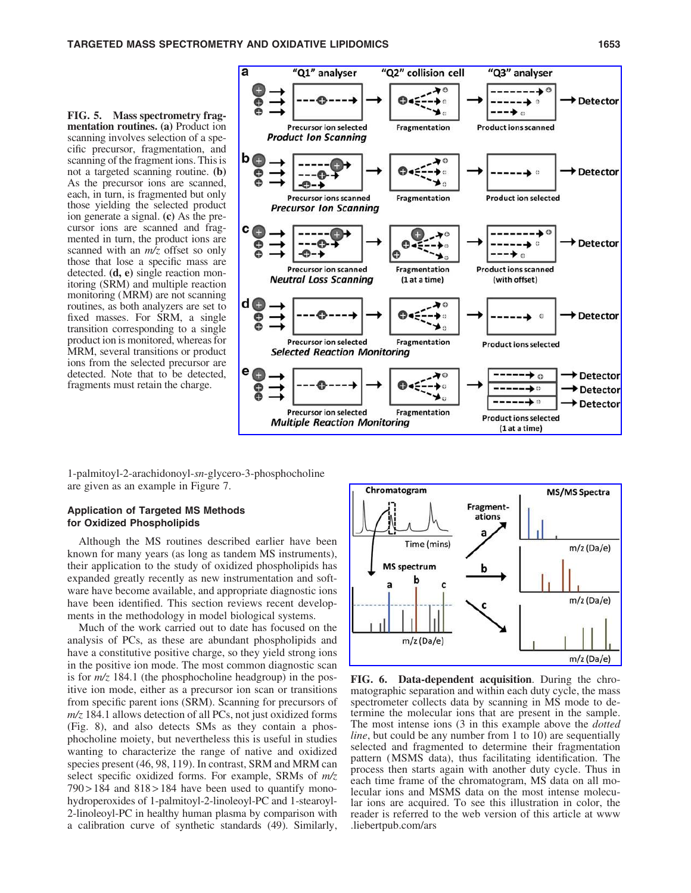FIG. 5. Mass spectrometry fragmentation routines. (a) Product ion scanning involves selection of a specific precursor, fragmentation, and scanning of the fragment ions. This is not a targeted scanning routine. (b) As the precursor ions are scanned, each, in turn, is fragmented but only those yielding the selected product ion generate a signal. (c) As the precursor ions are scanned and fragmented in turn, the product ions are scanned with an *m/z* offset so only those that lose a specific mass are detected. (d, e) single reaction monitoring (SRM) and multiple reaction monitoring (MRM) are not scanning routines, as both analyzers are set to fixed masses. For SRM, a single transition corresponding to a single product ion is monitored, whereas for MRM, several transitions or product ions from the selected precursor are detected. Note that to be detected, fragments must retain the charge.



1-palmitoyl-2-arachidonoyl-*sn*-glycero-3-phosphocholine are given as an example in Figure 7.

## Application of Targeted MS Methods for Oxidized Phospholipids

Although the MS routines described earlier have been known for many years (as long as tandem MS instruments), their application to the study of oxidized phospholipids has expanded greatly recently as new instrumentation and software have become available, and appropriate diagnostic ions have been identified. This section reviews recent developments in the methodology in model biological systems.

Much of the work carried out to date has focused on the analysis of PCs, as these are abundant phospholipids and have a constitutive positive charge, so they yield strong ions in the positive ion mode. The most common diagnostic scan is for *m/z* 184.1 (the phosphocholine headgroup) in the positive ion mode, either as a precursor ion scan or transitions from specific parent ions (SRM). Scanning for precursors of *m/z* 184.1 allows detection of all PCs, not just oxidized forms (Fig. 8), and also detects SMs as they contain a phosphocholine moiety, but nevertheless this is useful in studies wanting to characterize the range of native and oxidized species present (46, 98, 119). In contrast, SRM and MRM can select specific oxidized forms. For example, SRMs of *m/z*  $790 > 184$  and  $818 > 184$  have been used to quantify monohydroperoxides of 1-palmitoyl-2-linoleoyl-PC and 1-stearoyl-2-linoleoyl-PC in healthy human plasma by comparison with a calibration curve of synthetic standards (49). Similarly,



FIG. 6. Data-dependent acquisition. During the chromatographic separation and within each duty cycle, the mass spectrometer collects data by scanning in MS mode to determine the molecular ions that are present in the sample. The most intense ions (3 in this example above the *dotted line*, but could be any number from 1 to 10) are sequentially selected and fragmented to determine their fragmentation pattern (MSMS data), thus facilitating identification. The process then starts again with another duty cycle. Thus in each time frame of the chromatogram, MS data on all molecular ions and MSMS data on the most intense molecular ions are acquired. To see this illustration in color, the reader is referred to the web version of this article at www .liebertpub.com/ars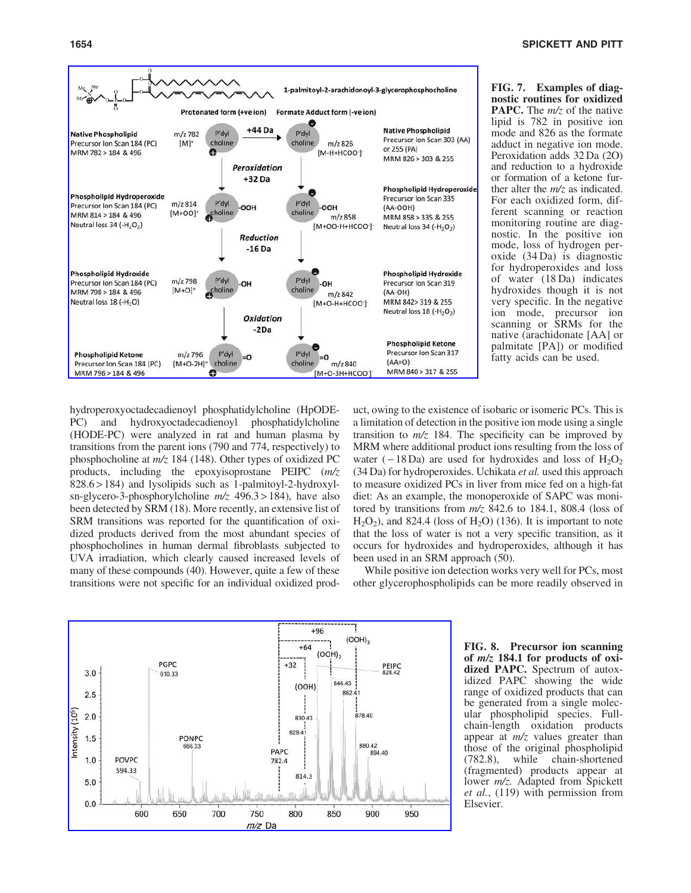

FIG. 7. Examples of diagnostic routines for oxidized PAPC. The *m/z* of the native lipid is 782 in positive ion mode and 826 as the formate adduct in negative ion mode. Peroxidation adds 32 Da (2O) and reduction to a hydroxide or formation of a ketone further alter the *m/z* as indicated. For each oxidized form, different scanning or reaction monitoring routine are diagnostic. In the positive ion mode, loss of hydrogen peroxide (34 Da) is diagnostic for hydroperoxides and loss of water (18 Da) indicates hydroxides though it is not very specific. In the negative ion mode, precursor ion scanning or SRMs for the native (arachidonate [AA] or palmitate [PA]) or modified fatty acids can be used.

hydroperoxyoctadecadienoyl phosphatidylcholine (HpODE-PC) and hydroxyoctadecadienoyl phosphatidylcholine (HODE-PC) were analyzed in rat and human plasma by transitions from the parent ions (790 and 774, respectively) to phosphocholine at *m/z* 184 (148). Other types of oxidized PC products, including the epoxyisoprostane PEIPC (*m/z* 828.6 > 184) and lysolipids such as 1-palmitoyl-2-hydroxylsn-glycero-3-phosphorylcholine *m/z* 496.3 > 184), have also been detected by SRM (18). More recently, an extensive list of SRM transitions was reported for the quantification of oxidized products derived from the most abundant species of phosphocholines in human dermal fibroblasts subjected to UVA irradiation, which clearly caused increased levels of many of these compounds (40). However, quite a few of these transitions were not specific for an individual oxidized product, owing to the existence of isobaric or isomeric PCs. This is a limitation of detection in the positive ion mode using a single transition to  $m/z$  184. The specificity can be improved by MRM where additional product ions resulting from the loss of water ( $-18$ Da) are used for hydroxides and loss of  $H_2O_2$ (34 Da) for hydroperoxides. Uchikata *et al.* used this approach to measure oxidized PCs in liver from mice fed on a high-fat diet: As an example, the monoperoxide of SAPC was monitored by transitions from *m/z* 842.6 to 184.1, 808.4 (loss of  $H<sub>2</sub>O<sub>2</sub>$ ), and 824.4 (loss of  $H<sub>2</sub>O$ ) (136). It is important to note that the loss of water is not a very specific transition, as it occurs for hydroxides and hydroperoxides, although it has been used in an SRM approach (50).

While positive ion detection works very well for PCs, most other glycerophospholipids can be more readily observed in



FIG. 8. Precursor ion scanning of  $m/z$  184.1 for products of oxidized PAPC. Spectrum of autoxidized PAPC showing the wide range of oxidized products that can be generated from a single molecular phospholipid species. Fullchain-length oxidation products appear at *m/z* values greater than those of the original phospholipid (782.8), while chain-shortened (fragmented) products appear at lower *m/z.* Adapted from Spickett *et al.*, (119) with permission from Elsevier.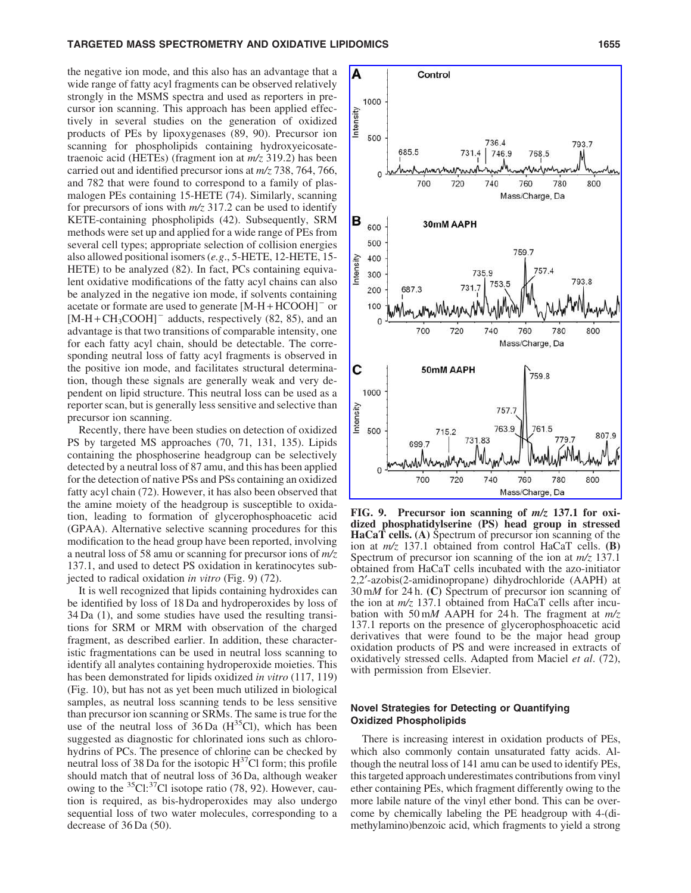#### TARGETED MASS SPECTROMETRY AND OXIDATIVE LIPIDOMICS NARROLL 2000 1655

A

Control

the negative ion mode, and this also has an advantage that a wide range of fatty acyl fragments can be observed relatively strongly in the MSMS spectra and used as reporters in precursor ion scanning. This approach has been applied effectively in several studies on the generation of oxidized products of PEs by lipoxygenases (89, 90). Precursor ion scanning for phospholipids containing hydroxyeicosatetraenoic acid (HETEs) (fragment ion at *m/z* 319.2) has been carried out and identified precursor ions at *m/z* 738, 764, 766, and 782 that were found to correspond to a family of plasmalogen PEs containing 15-HETE (74). Similarly, scanning for precursors of ions with *m/z* 317.2 can be used to identify KETE-containing phospholipids (42). Subsequently, SRM methods were set up and applied for a wide range of PEs from several cell types; appropriate selection of collision energies also allowed positional isomers (*e.g*., 5-HETE, 12-HETE, 15- HETE) to be analyzed (82). In fact, PCs containing equivalent oxidative modifications of the fatty acyl chains can also be analyzed in the negative ion mode, if solvents containing acetate or formate are used to generate  $[M-H+HCOOH]$ <sup>-</sup> or  $[M-H+CH<sub>3</sub>COOH]$ <sup>-</sup> adducts, respectively (82, 85), and an advantage is that two transitions of comparable intensity, one for each fatty acyl chain, should be detectable. The corresponding neutral loss of fatty acyl fragments is observed in the positive ion mode, and facilitates structural determination, though these signals are generally weak and very dependent on lipid structure. This neutral loss can be used as a reporter scan, but is generally less sensitive and selective than precursor ion scanning.

Recently, there have been studies on detection of oxidized PS by targeted MS approaches (70, 71, 131, 135). Lipids containing the phosphoserine headgroup can be selectively detected by a neutral loss of 87 amu, and this has been applied for the detection of native PSs and PSs containing an oxidized fatty acyl chain (72). However, it has also been observed that the amine moiety of the headgroup is susceptible to oxidation, leading to formation of glycerophosphoacetic acid (GPAA). Alternative selective scanning procedures for this modification to the head group have been reported, involving a neutral loss of 58 amu or scanning for precursor ions of *m/z* 137.1, and used to detect PS oxidation in keratinocytes subjected to radical oxidation *in vitro* (Fig. 9) (72).

It is well recognized that lipids containing hydroxides can be identified by loss of 18 Da and hydroperoxides by loss of 34 Da (1), and some studies have used the resulting transitions for SRM or MRM with observation of the charged fragment, as described earlier. In addition, these characteristic fragmentations can be used in neutral loss scanning to identify all analytes containing hydroperoxide moieties. This has been demonstrated for lipids oxidized *in vitro* (117, 119) (Fig. 10), but has not as yet been much utilized in biological samples, as neutral loss scanning tends to be less sensitive than precursor ion scanning or SRMs. The same is true for the use of the neutral loss of  $36\,\text{Da}$  (H<sup>35</sup>Cl), which has been suggested as diagnostic for chlorinated ions such as chlorohydrins of PCs. The presence of chlorine can be checked by neutral loss of 38 Da for the isotopic  $H<sup>3</sup>'Cl$  form; this profile should match that of neutral loss of 36 Da, although weaker owing to the  ${}^{35}Cl$ :  ${}^{37}Cl$  isotope ratio (78, 92). However, caution is required, as bis-hydroperoxides may also undergo sequential loss of two water molecules, corresponding to a decrease of 36 Da (50).



FIG. 9. Precursor ion scanning of m/z 137.1 for oxidized phosphatidylserine (PS) head group in stressed HaCaT cells. (A) Spectrum of precursor ion scanning of the ion at *m/z* 137.1 obtained from control HaCaT cells. (B) Spectrum of precursor ion scanning of the ion at *m/z* 137.1 obtained from HaCaT cells incubated with the azo-initiator 2,2¢-azobis(2-amidinopropane) dihydrochloride (AAPH) at 30 m*M* for 24 h. (C) Spectrum of precursor ion scanning of the ion at *m/z* 137.1 obtained from HaCaT cells after incubation with 50 m*M* AAPH for 24 h. The fragment at *m/z* 137.1 reports on the presence of glycerophosphoacetic acid derivatives that were found to be the major head group oxidation products of PS and were increased in extracts of oxidatively stressed cells. Adapted from Maciel *et al*. (72), with permission from Elsevier.

## Novel Strategies for Detecting or Quantifying Oxidized Phospholipids

There is increasing interest in oxidation products of PEs, which also commonly contain unsaturated fatty acids. Although the neutral loss of 141 amu can be used to identify PEs, this targeted approach underestimates contributions from vinyl ether containing PEs, which fragment differently owing to the more labile nature of the vinyl ether bond. This can be overcome by chemically labeling the PE headgroup with 4-(dimethylamino)benzoic acid, which fragments to yield a strong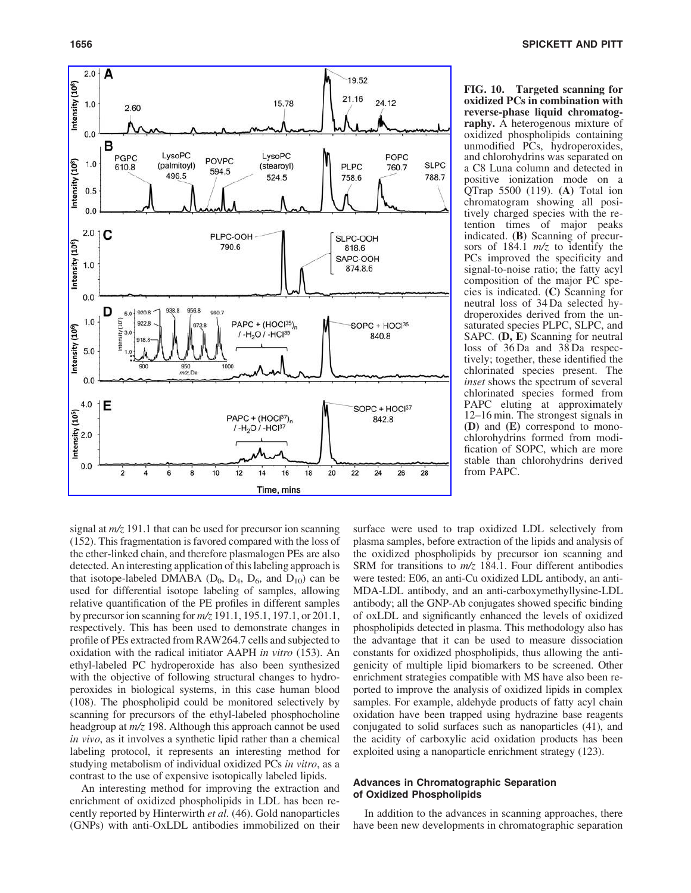

FIG. 10. Targeted scanning for oxidized PCs in combination with reverse-phase liquid chromatography. A heterogenous mixture of oxidized phospholipids containing unmodified PCs, hydroperoxides, and chlorohydrins was separated on a C8 Luna column and detected in positive ionization mode on a QTrap 5500 (119). (A) Total ion chromatogram showing all positively charged species with the retention times of major peaks indicated. (B) Scanning of precursors of 184.1 *m/z* to identify the PCs improved the specificity and signal-to-noise ratio; the fatty acyl composition of the major PC species is indicated. (C) Scanning for neutral loss of 34 Da selected hydroperoxides derived from the unsaturated species PLPC, SLPC, and SAPC. (D, E) Scanning for neutral loss of 36 Da and 38 Da respectively; together, these identified the chlorinated species present. The *inset* shows the spectrum of several chlorinated species formed from PAPC eluting at approximately 12–16 min. The strongest signals in (D) and (E) correspond to monochlorohydrins formed from modification of SOPC, which are more stable than chlorohydrins derived from PAPC.

signal at *m/z* 191.1 that can be used for precursor ion scanning (152). This fragmentation is favored compared with the loss of the ether-linked chain, and therefore plasmalogen PEs are also detected. An interesting application of this labeling approach is that isotope-labeled DMABA ( $D_0$ ,  $D_4$ ,  $D_6$ , and  $D_{10}$ ) can be used for differential isotope labeling of samples, allowing relative quantification of the PE profiles in different samples by precursor ion scanning for *m/z* 191.1, 195.1, 197.1, or 201.1, respectively. This has been used to demonstrate changes in profile of PEs extracted from RAW264.7 cells and subjected to oxidation with the radical initiator AAPH *in vitro* (153). An ethyl-labeled PC hydroperoxide has also been synthesized with the objective of following structural changes to hydroperoxides in biological systems, in this case human blood (108). The phospholipid could be monitored selectively by scanning for precursors of the ethyl-labeled phosphocholine headgroup at *m/z* 198. Although this approach cannot be used *in vivo*, as it involves a synthetic lipid rather than a chemical labeling protocol, it represents an interesting method for studying metabolism of individual oxidized PCs *in vitro*, as a contrast to the use of expensive isotopically labeled lipids.

An interesting method for improving the extraction and enrichment of oxidized phospholipids in LDL has been recently reported by Hinterwirth *et al.* (46). Gold nanoparticles (GNPs) with anti-OxLDL antibodies immobilized on their surface were used to trap oxidized LDL selectively from plasma samples, before extraction of the lipids and analysis of the oxidized phospholipids by precursor ion scanning and SRM for transitions to *m/z* 184.1. Four different antibodies were tested: E06, an anti-Cu oxidized LDL antibody, an anti-MDA-LDL antibody, and an anti-carboxymethyllysine-LDL antibody; all the GNP-Ab conjugates showed specific binding of oxLDL and significantly enhanced the levels of oxidized phospholipids detected in plasma. This methodology also has the advantage that it can be used to measure dissociation constants for oxidized phospholipids, thus allowing the antigenicity of multiple lipid biomarkers to be screened. Other enrichment strategies compatible with MS have also been reported to improve the analysis of oxidized lipids in complex samples. For example, aldehyde products of fatty acyl chain oxidation have been trapped using hydrazine base reagents conjugated to solid surfaces such as nanoparticles (41), and the acidity of carboxylic acid oxidation products has been exploited using a nanoparticle enrichment strategy (123).

# Advances in Chromatographic Separation of Oxidized Phospholipids

In addition to the advances in scanning approaches, there have been new developments in chromatographic separation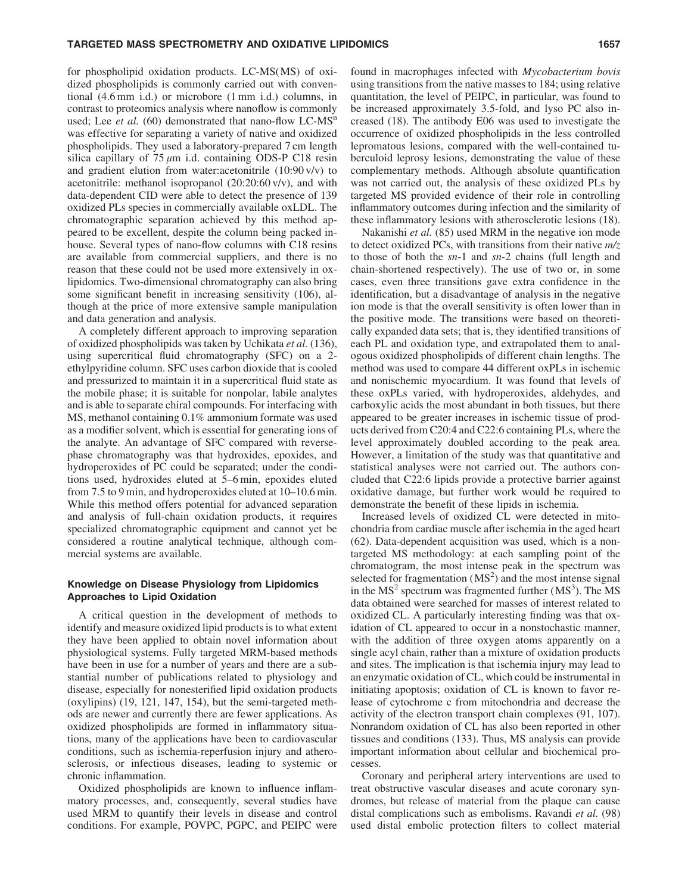# for phospholipid oxidation products. LC-MS(MS) of oxidized phospholipids is commonly carried out with conventional (4.6 mm i.d.) or microbore (1 mm i.d.) columns, in contrast to proteomics analysis where nanoflow is commonly used; Lee *et al.* (60) demonstrated that nano-flow  $LC-MS<sup>n</sup>$ was effective for separating a variety of native and oxidized phospholipids. They used a laboratory-prepared 7 cm length silica capillary of  $75 \mu m$  i.d. containing ODS-P C18 resin and gradient elution from water:acetonitrile (10:90 v/v) to acetonitrile: methanol isopropanol (20:20:60 v/v), and with data-dependent CID were able to detect the presence of 139 oxidized PLs species in commercially available oxLDL. The chromatographic separation achieved by this method appeared to be excellent, despite the column being packed inhouse. Several types of nano-flow columns with C18 resins are available from commercial suppliers, and there is no reason that these could not be used more extensively in oxlipidomics. Two-dimensional chromatography can also bring some significant benefit in increasing sensitivity (106), although at the price of more extensive sample manipulation and data generation and analysis.

A completely different approach to improving separation of oxidized phospholipids was taken by Uchikata *et al.* (136), using supercritical fluid chromatography (SFC) on a 2 ethylpyridine column. SFC uses carbon dioxide that is cooled and pressurized to maintain it in a supercritical fluid state as the mobile phase; it is suitable for nonpolar, labile analytes and is able to separate chiral compounds. For interfacing with MS, methanol containing 0.1% ammonium formate was used as a modifier solvent, which is essential for generating ions of the analyte. An advantage of SFC compared with reversephase chromatography was that hydroxides, epoxides, and hydroperoxides of PC could be separated; under the conditions used, hydroxides eluted at 5–6 min, epoxides eluted from 7.5 to 9 min, and hydroperoxides eluted at 10–10.6 min. While this method offers potential for advanced separation and analysis of full-chain oxidation products, it requires specialized chromatographic equipment and cannot yet be considered a routine analytical technique, although commercial systems are available.

# Knowledge on Disease Physiology from Lipidomics Approaches to Lipid Oxidation

A critical question in the development of methods to identify and measure oxidized lipid products is to what extent they have been applied to obtain novel information about physiological systems. Fully targeted MRM-based methods have been in use for a number of years and there are a substantial number of publications related to physiology and disease, especially for nonesterified lipid oxidation products (oxylipins) (19, 121, 147, 154), but the semi-targeted methods are newer and currently there are fewer applications. As oxidized phospholipids are formed in inflammatory situations, many of the applications have been to cardiovascular conditions, such as ischemia-reperfusion injury and atherosclerosis, or infectious diseases, leading to systemic or chronic inflammation.

Oxidized phospholipids are known to influence inflammatory processes, and, consequently, several studies have used MRM to quantify their levels in disease and control conditions. For example, POVPC, PGPC, and PEIPC were found in macrophages infected with *Mycobacterium bovis* using transitions from the native masses to 184; using relative quantitation, the level of PEIPC, in particular, was found to be increased approximately 3.5-fold, and lyso PC also increased (18). The antibody E06 was used to investigate the occurrence of oxidized phospholipids in the less controlled lepromatous lesions, compared with the well-contained tuberculoid leprosy lesions, demonstrating the value of these complementary methods. Although absolute quantification was not carried out, the analysis of these oxidized PLs by targeted MS provided evidence of their role in controlling inflammatory outcomes during infection and the similarity of these inflammatory lesions with atherosclerotic lesions (18).

Nakanishi *et al.* (85) used MRM in the negative ion mode to detect oxidized PCs, with transitions from their native *m/z* to those of both the *sn*-1 and *sn*-2 chains (full length and chain-shortened respectively). The use of two or, in some cases, even three transitions gave extra confidence in the identification, but a disadvantage of analysis in the negative ion mode is that the overall sensitivity is often lower than in the positive mode. The transitions were based on theoretically expanded data sets; that is, they identified transitions of each PL and oxidation type, and extrapolated them to analogous oxidized phospholipids of different chain lengths. The method was used to compare 44 different oxPLs in ischemic and nonischemic myocardium. It was found that levels of these oxPLs varied, with hydroperoxides, aldehydes, and carboxylic acids the most abundant in both tissues, but there appeared to be greater increases in ischemic tissue of products derived from C20:4 and C22:6 containing PLs, where the level approximately doubled according to the peak area. However, a limitation of the study was that quantitative and statistical analyses were not carried out. The authors concluded that C22:6 lipids provide a protective barrier against oxidative damage, but further work would be required to demonstrate the benefit of these lipids in ischemia.

Increased levels of oxidized CL were detected in mitochondria from cardiac muscle after ischemia in the aged heart (62). Data-dependent acquisition was used, which is a nontargeted MS methodology: at each sampling point of the chromatogram, the most intense peak in the spectrum was selected for fragmentation  $(MS<sup>2</sup>)$  and the most intense signal in the  $MS<sup>2</sup>$  spectrum was fragmented further ( $MS<sup>3</sup>$ ). The MS data obtained were searched for masses of interest related to oxidized CL. A particularly interesting finding was that oxidation of CL appeared to occur in a nonstochastic manner, with the addition of three oxygen atoms apparently on a single acyl chain, rather than a mixture of oxidation products and sites. The implication is that ischemia injury may lead to an enzymatic oxidation of CL, which could be instrumental in initiating apoptosis; oxidation of CL is known to favor release of cytochrome c from mitochondria and decrease the activity of the electron transport chain complexes (91, 107). Nonrandom oxidation of CL has also been reported in other tissues and conditions (133). Thus, MS analysis can provide important information about cellular and biochemical processes.

Coronary and peripheral artery interventions are used to treat obstructive vascular diseases and acute coronary syndromes, but release of material from the plaque can cause distal complications such as embolisms. Ravandi *et al.* (98) used distal embolic protection filters to collect material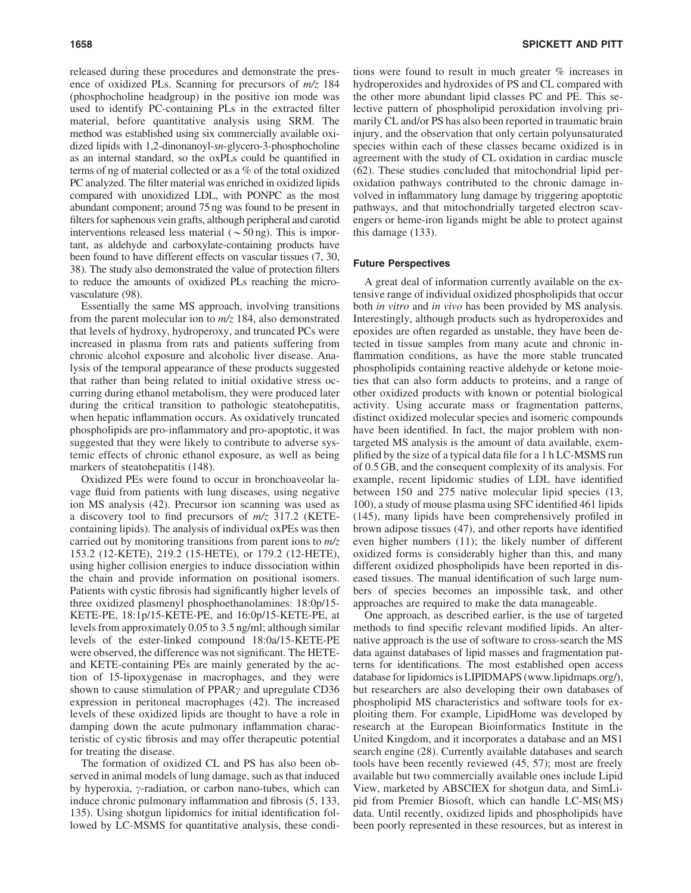released during these procedures and demonstrate the presence of oxidized PLs. Scanning for precursors of *m/z* 184 (phosphocholine headgroup) in the positive ion mode was used to identify PC-containing PLs in the extracted filter material, before quantitative analysis using SRM. The method was established using six commercially available oxidized lipids with 1,2-dinonanoyl-*sn*-glycero-3-phosphocholine as an internal standard, so the oxPLs could be quantified in terms of ng of material collected or as a % of the total oxidized PC analyzed. The filter material was enriched in oxidized lipids compared with unoxidized LDL, with PONPC as the most abundant component; around 75 ng was found to be present in filters for saphenous vein grafts, although peripheral and carotid interventions released less material ( $\sim$  50 ng). This is important, as aldehyde and carboxylate-containing products have been found to have different effects on vascular tissues (7, 30, 38). The study also demonstrated the value of protection filters to reduce the amounts of oxidized PLs reaching the microvasculature (98).

Essentially the same MS approach, involving transitions from the parent molecular ion to *m/z* 184, also demonstrated that levels of hydroxy, hydroperoxy, and truncated PCs were increased in plasma from rats and patients suffering from chronic alcohol exposure and alcoholic liver disease. Analysis of the temporal appearance of these products suggested that rather than being related to initial oxidative stress occurring during ethanol metabolism, they were produced later during the critical transition to pathologic steatohepatitis, when hepatic inflammation occurs. As oxidatively truncated phospholipids are pro-inflammatory and pro-apoptotic, it was suggested that they were likely to contribute to adverse systemic effects of chronic ethanol exposure, as well as being markers of steatohepatitis (148).

Oxidized PEs were found to occur in bronchoaveolar lavage fluid from patients with lung diseases, using negative ion MS analysis (42). Precursor ion scanning was used as a discovery tool to find precursors of *m/z* 317.2 (KETEcontaining lipids). The analysis of individual oxPEs was then carried out by monitoring transitions from parent ions to *m/z* 153.2 (12-KETE), 219.2 (15-HETE), or 179.2 (12-HETE), using higher collision energies to induce dissociation within the chain and provide information on positional isomers. Patients with cystic fibrosis had significantly higher levels of three oxidized plasmenyl phosphoethanolamines: 18:0p/15- KETE-PE, 18:1p/15-KETE-PE, and 16:0p/15-KETE-PE, at levels from approximately 0.05 to 3.5 ng/ml; although similar levels of the ester-linked compound 18:0a/15-KETE-PE were observed, the difference was not significant. The HETEand KETE-containing PEs are mainly generated by the action of 15-lipoxygenase in macrophages, and they were shown to cause stimulation of  $PPAR\gamma$  and upregulate CD36 expression in peritoneal macrophages (42). The increased levels of these oxidized lipids are thought to have a role in damping down the acute pulmonary inflammation characteristic of cystic fibrosis and may offer therapeutic potential for treating the disease.

The formation of oxidized CL and PS has also been observed in animal models of lung damage, such as that induced by hyperoxia,  $\gamma$ -radiation, or carbon nano-tubes, which can induce chronic pulmonary inflammation and fibrosis (5, 133, 135). Using shotgun lipidomics for initial identification followed by LC-MSMS for quantitative analysis, these conditions were found to result in much greater % increases in hydroperoxides and hydroxides of PS and CL compared with the other more abundant lipid classes PC and PE. This selective pattern of phospholipid peroxidation involving primarily CL and/or PS has also been reported in traumatic brain injury, and the observation that only certain polyunsaturated species within each of these classes became oxidized is in agreement with the study of CL oxidation in cardiac muscle (62). These studies concluded that mitochondrial lipid peroxidation pathways contributed to the chronic damage involved in inflammatory lung damage by triggering apoptotic pathways, and that mitochondrially targeted electron scavengers or heme-iron ligands might be able to protect against this damage (133).

# Future Perspectives

A great deal of information currently available on the extensive range of individual oxidized phospholipids that occur both *in vitro* and *in vivo* has been provided by MS analysis. Interestingly, although products such as hydroperoxides and epoxides are often regarded as unstable, they have been detected in tissue samples from many acute and chronic inflammation conditions, as have the more stable truncated phospholipids containing reactive aldehyde or ketone moieties that can also form adducts to proteins, and a range of other oxidized products with known or potential biological activity. Using accurate mass or fragmentation patterns, distinct oxidized molecular species and isomeric compounds have been identified. In fact, the major problem with nontargeted MS analysis is the amount of data available, exemplified by the size of a typical data file for a 1 h LC-MSMS run of 0.5 GB, and the consequent complexity of its analysis. For example, recent lipidomic studies of LDL have identified between 150 and 275 native molecular lipid species (13, 100), a study of mouse plasma using SFC identified 461 lipids (145), many lipids have been comprehensively profiled in brown adipose tissues (47), and other reports have identified even higher numbers (11); the likely number of different oxidized forms is considerably higher than this, and many different oxidized phospholipids have been reported in diseased tissues. The manual identification of such large numbers of species becomes an impossible task, and other approaches are required to make the data manageable.

One approach, as described earlier, is the use of targeted methods to find specific relevant modified lipids. An alternative approach is the use of software to cross-search the MS data against databases of lipid masses and fragmentation patterns for identifications. The most established open access database for lipidomics is LIPIDMAPS (www.lipidmaps.org/), but researchers are also developing their own databases of phospholipid MS characteristics and software tools for exploiting them. For example, LipidHome was developed by research at the European Bioinformatics Institute in the United Kingdom, and it incorporates a database and an MS1 search engine (28). Currently available databases and search tools have been recently reviewed (45, 57); most are freely available but two commercially available ones include Lipid View, marketed by ABSCIEX for shotgun data, and SimLipid from Premier Biosoft, which can handle LC-MS(MS) data. Until recently, oxidized lipids and phospholipids have been poorly represented in these resources, but as interest in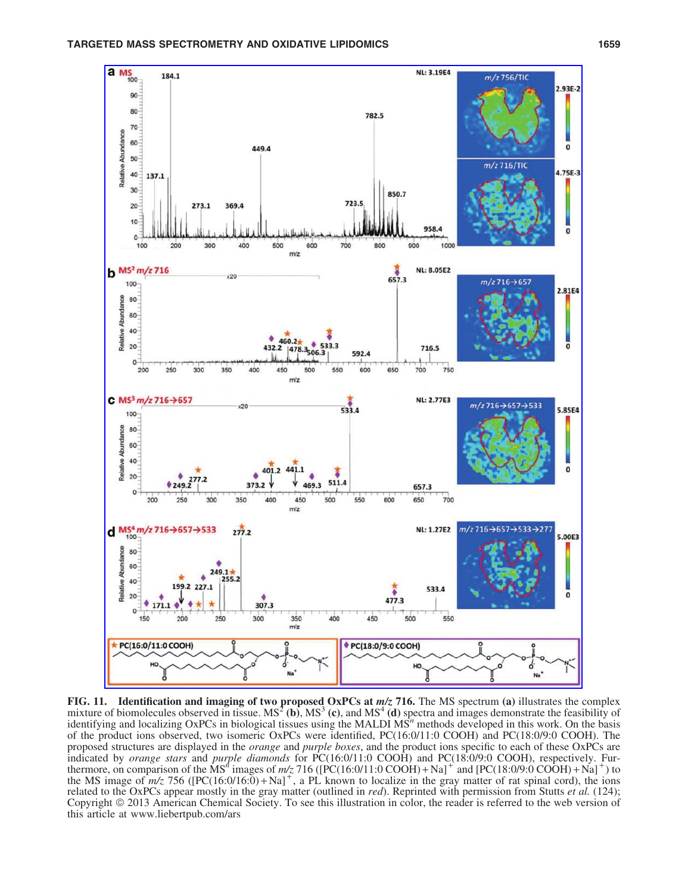

FIG. 11. Identification and imaging of two proposed OxPCs at  $m/z$  716. The MS spectrum (a) illustrates the complex mixture of biomolecules observed in tissue.  $MS^2$  (b),  $MS^3$  (c), and  $MS^4$  (d) spectra and images demonstrate the feasibility of identifying and localizing OxPCs in biological tissues using the MALDI MS<sup>n</sup> methods developed in this work. On the basis of the product ions observed, two isomeric OxPCs were identified, PC(16:0/11:0 COOH) and PC(18:0/9:0 COOH). The proposed structures are displayed in the *orange* and *purple boxes*, and the product ions specific to each of these OxPCs are indicated by *orange stars* and *purple diamonds* for PC(16:0/11:0 COOH) and PC(18:0/9:0 COOH), respectively. Fur-<br>thermore, on comparison of the MS<sup>n</sup> images of  $m/z$  716 ([PC(16:0/11:0 COOH) + Na]<sup>+</sup> and [PC(18:0/9:0 COO the MS image of  $m/z$  756 ( $[PC(16:0/16:0) + Na]$ <sup>+</sup>, a PL known to localize in the gray matter of rat spinal cord), the ions related to the OxPCs appear mostly in the gray matter (outlined in *red*). Reprinted with permission from Stutts *et al.* (124); Copyright  $\odot$  2013 American Chemical Society. To see this illustration in color, the reader is referred to the web version of this article at www.liebertpub.com/ars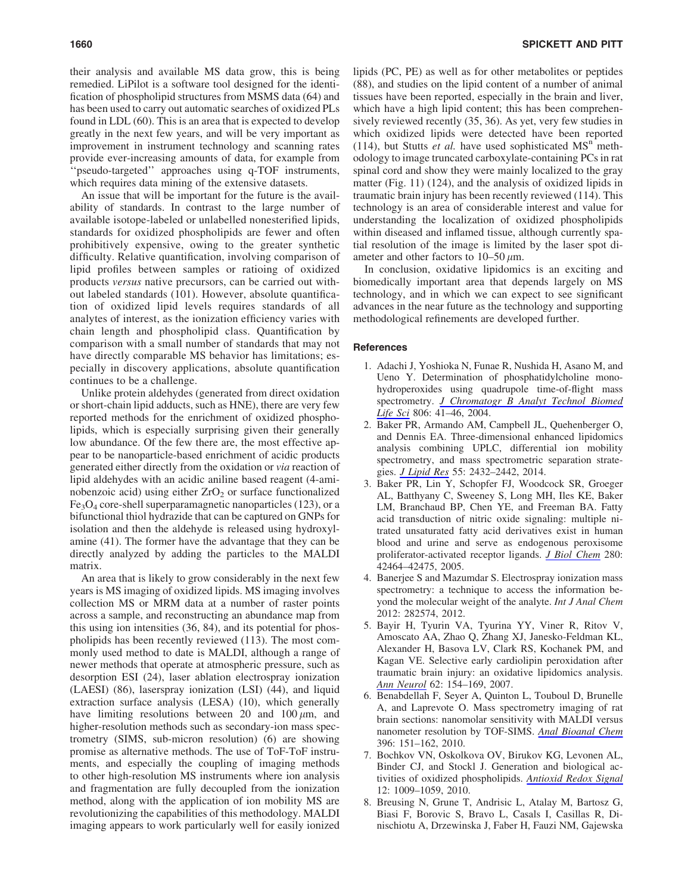their analysis and available MS data grow, this is being remedied. LiPilot is a software tool designed for the identification of phospholipid structures from MSMS data (64) and has been used to carry out automatic searches of oxidized PLs found in LDL (60). This is an area that is expected to develop greatly in the next few years, and will be very important as improvement in instrument technology and scanning rates provide ever-increasing amounts of data, for example from ''pseudo-targeted'' approaches using q-TOF instruments, which requires data mining of the extensive datasets.

An issue that will be important for the future is the availability of standards. In contrast to the large number of available isotope-labeled or unlabelled nonesterified lipids, standards for oxidized phospholipids are fewer and often prohibitively expensive, owing to the greater synthetic difficulty. Relative quantification, involving comparison of lipid profiles between samples or ratioing of oxidized products *versus* native precursors, can be carried out without labeled standards (101). However, absolute quantification of oxidized lipid levels requires standards of all analytes of interest, as the ionization efficiency varies with chain length and phospholipid class. Quantification by comparison with a small number of standards that may not have directly comparable MS behavior has limitations; especially in discovery applications, absolute quantification continues to be a challenge.

Unlike protein aldehydes (generated from direct oxidation or short-chain lipid adducts, such as HNE), there are very few reported methods for the enrichment of oxidized phospholipids, which is especially surprising given their generally low abundance. Of the few there are, the most effective appear to be nanoparticle-based enrichment of acidic products generated either directly from the oxidation or *via* reaction of lipid aldehydes with an acidic aniline based reagent (4-aminobenzoic acid) using either  $ZrO<sub>2</sub>$  or surface functionalized  $Fe<sub>3</sub>O<sub>4</sub>$  core-shell superparamagnetic nanoparticles (123), or a bifunctional thiol hydrazide that can be captured on GNPs for isolation and then the aldehyde is released using hydroxylamine (41). The former have the advantage that they can be directly analyzed by adding the particles to the MALDI matrix.

An area that is likely to grow considerably in the next few years is MS imaging of oxidized lipids. MS imaging involves collection MS or MRM data at a number of raster points across a sample, and reconstructing an abundance map from this using ion intensities (36, 84), and its potential for phospholipids has been recently reviewed (113). The most commonly used method to date is MALDI, although a range of newer methods that operate at atmospheric pressure, such as desorption ESI (24), laser ablation electrospray ionization (LAESI) (86), laserspray ionization (LSI) (44), and liquid extraction surface analysis (LESA) (10), which generally have limiting resolutions between 20 and  $100 \mu m$ , and higher-resolution methods such as secondary-ion mass spectrometry (SIMS, sub-micron resolution) (6) are showing promise as alternative methods. The use of ToF-ToF instruments, and especially the coupling of imaging methods to other high-resolution MS instruments where ion analysis and fragmentation are fully decoupled from the ionization method, along with the application of ion mobility MS are revolutionizing the capabilities of this methodology. MALDI imaging appears to work particularly well for easily ionized lipids (PC, PE) as well as for other metabolites or peptides (88), and studies on the lipid content of a number of animal tissues have been reported, especially in the brain and liver, which have a high lipid content; this has been comprehensively reviewed recently (35, 36). As yet, very few studies in which oxidized lipids were detected have been reported (114), but Stutts *et al.* have used sophisticated  $MS<sup>n</sup>$  methodology to image truncated carboxylate-containing PCs in rat spinal cord and show they were mainly localized to the gray matter (Fig. 11) (124), and the analysis of oxidized lipids in traumatic brain injury has been recently reviewed (114). This technology is an area of considerable interest and value for understanding the localization of oxidized phospholipids within diseased and inflamed tissue, although currently spatial resolution of the image is limited by the laser spot diameter and other factors to  $10-50 \mu m$ .

In conclusion, oxidative lipidomics is an exciting and biomedically important area that depends largely on MS technology, and in which we can expect to see significant advances in the near future as the technology and supporting methodological refinements are developed further.

#### **References**

- 1. Adachi J, Yoshioka N, Funae R, Nushida H, Asano M, and Ueno Y. Determination of phosphatidylcholine monohydroperoxides using quadrupole time-of-flight mass spectrometry. *[J Chromatogr B Analyt Technol Biomed](http://online.liebertpub.com/action/showLinks?pmid=15149609&crossref=10.1016%2Fj.jchromb.2004.02.025) [Life Sci](http://online.liebertpub.com/action/showLinks?pmid=15149609&crossref=10.1016%2Fj.jchromb.2004.02.025)* 806: 41–46, 2004.
- 2. Baker PR, Armando AM, Campbell JL, Quehenberger O, and Dennis EA. Three-dimensional enhanced lipidomics analysis combining UPLC, differential ion mobility spectrometry, and mass spectrometric separation strategies. *[J Lipid Res](http://online.liebertpub.com/action/showLinks?pmid=25225680&crossref=10.1194%2Fjlr.D051581)* 55: 2432–2442, 2014.
- 3. Baker PR, Lin Y, Schopfer FJ, Woodcock SR, Groeger AL, Batthyany C, Sweeney S, Long MH, Iles KE, Baker LM, Branchaud BP, Chen YE, and Freeman BA. Fatty acid transduction of nitric oxide signaling: multiple nitrated unsaturated fatty acid derivatives exist in human blood and urine and serve as endogenous peroxisome proliferator-activated receptor ligands. *[J Biol Chem](http://online.liebertpub.com/action/showLinks?pmid=16227625&crossref=10.1074%2Fjbc.M504212200)* 280: 42464–42475, 2005.
- 4. Banerjee S and Mazumdar S. Electrospray ionization mass spectrometry: a technique to access the information beyond the molecular weight of the analyte. *Int J Anal Chem* 2012: 282574, 2012.
- 5. Bayir H, Tyurin VA, Tyurina YY, Viner R, Ritov V, Amoscato AA, Zhao Q, Zhang XJ, Janesko-Feldman KL, Alexander H, Basova LV, Clark RS, Kochanek PM, and Kagan VE. Selective early cardiolipin peroxidation after traumatic brain injury: an oxidative lipidomics analysis. *[Ann Neurol](http://online.liebertpub.com/action/showLinks?pmid=17685468&crossref=10.1002%2Fana.21168)* 62: 154–169, 2007.
- 6. Benabdellah F, Seyer A, Quinton L, Touboul D, Brunelle A, and Laprevote O. Mass spectrometry imaging of rat brain sections: nanomolar sensitivity with MALDI versus nanometer resolution by TOF-SIMS. *[Anal Bioanal Chem](http://online.liebertpub.com/action/showLinks?pmid=19711060&crossref=10.1007%2Fs00216-009-3031-2)* 396: 151–162, 2010.
- 7. Bochkov VN, Oskolkova OV, Birukov KG, Levonen AL, Binder CJ, and Stockl J. Generation and biological activities of oxidized phospholipids. *[Antioxid Redox Signal](http://online.liebertpub.com/action/showLinks?system=10.1089%2Fars.2009.2597&pmid=19686040)* 12: 1009–1059, 2010.
- 8. Breusing N, Grune T, Andrisic L, Atalay M, Bartosz G, Biasi F, Borovic S, Bravo L, Casals I, Casillas R, Dinischiotu A, Drzewinska J, Faber H, Fauzi NM, Gajewska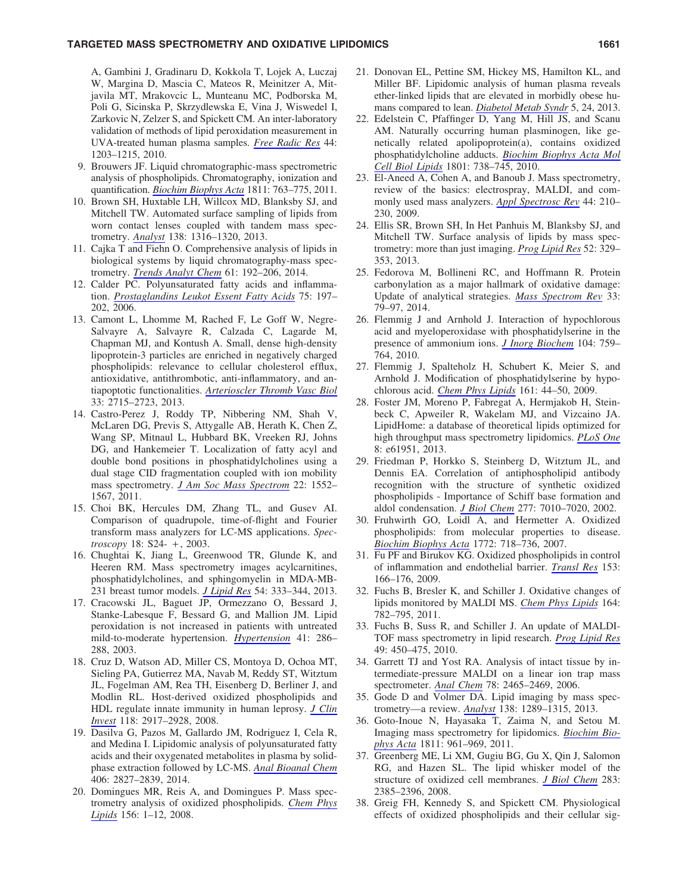## TARGETED MASS SPECTROMETRY AND OXIDATIVE LIPIDOMICS **1661** 1661

A, Gambini J, Gradinaru D, Kokkola T, Lojek A, Luczaj W, Margina D, Mascia C, Mateos R, Meinitzer A, Mitjavila MT, Mrakovcic L, Munteanu MC, Podborska M, Poli G, Sicinska P, Skrzydlewska E, Vina J, Wiswedel I, Zarkovic N, Zelzer S, and Spickett CM. An inter-laboratory validation of methods of lipid peroxidation measurement in UVA-treated human plasma samples. *[Free Radic Res](http://online.liebertpub.com/action/showLinks?pmid=20836662&crossref=10.3109%2F10715762.2010.499907)* 44: 1203–1215, 2010.

- 9. Brouwers JF. Liquid chromatographic-mass spectrometric analysis of phospholipids. Chromatography, ionization and quantification. *[Biochim Biophys Acta](http://online.liebertpub.com/action/showLinks?pmid=21851861&crossref=10.1016%2Fj.bbalip.2011.08.001)* 1811: 763–775, 2011.
- 10. Brown SH, Huxtable LH, Willcox MD, Blanksby SJ, and Mitchell TW. Automated surface sampling of lipids from worn contact lenses coupled with tandem mass spectrometry. *[Analyst](http://online.liebertpub.com/action/showLinks?pmid=23181259&crossref=10.1039%2Fc2an36189b)* 138: 1316–1320, 2013.
- 11. Cajka T and Fiehn O. Comprehensive analysis of lipids in biological systems by liquid chromatography-mass spectrometry. *[Trends Analyt Chem](http://online.liebertpub.com/action/showLinks?pmid=25309011&crossref=10.1016%2Fj.trac.2014.04.017)* 61: 192–206, 2014.
- 12. Calder PC. Polyunsaturated fatty acids and inflammation. *[Prostaglandins Leukot Essent Fatty Acids](http://online.liebertpub.com/action/showLinks?pmid=16828270&crossref=10.1016%2Fj.plefa.2006.05.012)* 75: 197– 202, 2006.
- 13. Camont L, Lhomme M, Rached F, Le Goff W, Negre-Salvayre A, Salvayre R, Calzada C, Lagarde M, Chapman MJ, and Kontush A. Small, dense high-density lipoprotein-3 particles are enriched in negatively charged phospholipids: relevance to cellular cholesterol efflux, antioxidative, antithrombotic, anti-inflammatory, and antiapoptotic functionalities. *[Arterioscler Thromb Vasc Biol](http://online.liebertpub.com/action/showLinks?pmid=24092747&crossref=10.1161%2FATVBAHA.113.301468)* 33: 2715–2723, 2013.
- 14. Castro-Perez J, Roddy TP, Nibbering NM, Shah V, McLaren DG, Previs S, Attygalle AB, Herath K, Chen Z, Wang SP, Mitnaul L, Hubbard BK, Vreeken RJ, Johns DG, and Hankemeier T. Localization of fatty acyl and double bond positions in phosphatidylcholines using a dual stage CID fragmentation coupled with ion mobility mass spectrometry. *[J Am Soc Mass Spectrom](http://online.liebertpub.com/action/showLinks?pmid=21953258&crossref=10.1007%2Fs13361-011-0172-2)* 22: 1552– 1567, 2011.
- 15. Choi BK, Hercules DM, Zhang TL, and Gusev AI. Comparison of quadrupole, time-of-flight and Fourier transform mass analyzers for LC-MS applications. *Spectroscopy* 18: S24- + , 2003.
- 16. Chughtai K, Jiang L, Greenwood TR, Glunde K, and Heeren RM. Mass spectrometry images acylcarnitines, phosphatidylcholines, and sphingomyelin in MDA-MB-231 breast tumor models. *[J Lipid Res](http://online.liebertpub.com/action/showLinks?pmid=22930811&crossref=10.1194%2Fjlr.M027961)* 54: 333–344, 2013.
- 17. Cracowski JL, Baguet JP, Ormezzano O, Bessard J, Stanke-Labesque F, Bessard G, and Mallion JM. Lipid peroxidation is not increased in patients with untreated mild-to-moderate hypertension. *[Hypertension](http://online.liebertpub.com/action/showLinks?pmid=12574096&crossref=10.1161%2F01.HYP.0000050963.16405.E6)* 41: 286– 288, 2003.
- 18. Cruz D, Watson AD, Miller CS, Montoya D, Ochoa MT, Sieling PA, Gutierrez MA, Navab M, Reddy ST, Witztum JL, Fogelman AM, Rea TH, Eisenberg D, Berliner J, and Modlin RL. Host-derived oxidized phospholipids and HDL regulate innate immunity in human leprosy. *[J Clin](http://online.liebertpub.com/action/showLinks?pmid=18636118&crossref=10.1172%2FJCI34189) [Invest](http://online.liebertpub.com/action/showLinks?pmid=18636118&crossref=10.1172%2FJCI34189)* 118: 2917–2928, 2008.
- 19. Dasilva G, Pazos M, Gallardo JM, Rodriguez I, Cela R, and Medina I. Lipidomic analysis of polyunsaturated fatty acids and their oxygenated metabolites in plasma by solidphase extraction followed by LC-MS. *[Anal Bioanal Chem](http://online.liebertpub.com/action/showLinks?pmid=24618987&crossref=10.1007%2Fs00216-014-7701-3)* 406: 2827–2839, 2014.
- 20. Domingues MR, Reis A, and Domingues P. Mass spectrometry analysis of oxidized phospholipids. *[Chem Phys](http://online.liebertpub.com/action/showLinks?pmid=18671956&crossref=10.1016%2Fj.chemphyslip.2008.07.003) [Lipids](http://online.liebertpub.com/action/showLinks?pmid=18671956&crossref=10.1016%2Fj.chemphyslip.2008.07.003)* 156: 1–12, 2008.
- 21. Donovan EL, Pettine SM, Hickey MS, Hamilton KL, and Miller BF. Lipidomic analysis of human plasma reveals ether-linked lipids that are elevated in morbidly obese humans compared to lean. *[Diabetol Metab Syndr](http://online.liebertpub.com/action/showLinks?pmid=23672807&crossref=10.1186%2F1758-5996-5-24)* 5, 24, 2013.
- 22. Edelstein C, Pfaffinger D, Yang M, Hill JS, and Scanu AM. Naturally occurring human plasminogen, like genetically related apolipoprotein(a), contains oxidized phosphatidylcholine adducts. *[Biochim Biophys Acta Mol](http://online.liebertpub.com/action/showLinks?pmid=20346413&crossref=10.1016%2Fj.bbalip.2010.03.009) [Cell Biol Lipids](http://online.liebertpub.com/action/showLinks?pmid=20346413&crossref=10.1016%2Fj.bbalip.2010.03.009)* 1801: 738–745, 2010.
- 23. El-Aneed A, Cohen A, and Banoub J. Mass spectrometry, review of the basics: electrospray, MALDI, and commonly used mass analyzers. *[Appl Spectrosc Rev](http://online.liebertpub.com/action/showLinks?crossref=10.1080%2F05704920902717872)* 44: 210– 230, 2009.
- 24. Ellis SR, Brown SH, In Het Panhuis M, Blanksby SJ, and Mitchell TW. Surface analysis of lipids by mass spectrometry: more than just imaging. *[Prog Lipid Res](http://online.liebertpub.com/action/showLinks?pmid=23623802&crossref=10.1016%2Fj.plipres.2013.04.005)* 52: 329– 353, 2013.
- 25. Fedorova M, Bollineni RC, and Hoffmann R. Protein carbonylation as a major hallmark of oxidative damage: Update of analytical strategies. *[Mass Spectrom Rev](http://online.liebertpub.com/action/showLinks?pmid=23832618&crossref=10.1002%2Fmas.21381)* 33: 79–97, 2014.
- 26. Flemmig J and Arnhold J. Interaction of hypochlorous acid and myeloperoxidase with phosphatidylserine in the presence of ammonium ions. *[J Inorg Biochem](http://online.liebertpub.com/action/showLinks?pmid=20400181&crossref=10.1016%2Fj.jinorgbio.2010.03.009)* 104: 759– 764, 2010.
- 27. Flemmig J, Spalteholz H, Schubert K, Meier S, and Arnhold J. Modification of phosphatidylserine by hypochlorous acid. *[Chem Phys Lipids](http://online.liebertpub.com/action/showLinks?pmid=19577554&crossref=10.1016%2Fj.chemphyslip.2009.06.144)* 161: 44–50, 2009.
- 28. Foster JM, Moreno P, Fabregat A, Hermjakob H, Steinbeck C, Apweiler R, Wakelam MJ, and Vizcaino JA. LipidHome: a database of theoretical lipids optimized for high throughput mass spectrometry lipidomics. *[PLoS One](http://online.liebertpub.com/action/showLinks?pmid=23667450&crossref=10.1371%2Fjournal.pone.0061951)* 8: e61951, 2013.
- 29. Friedman P, Horkko S, Steinberg D, Witztum JL, and Dennis EA. Correlation of antiphospholipid antibody recognition with the structure of synthetic oxidized phospholipids - Importance of Schiff base formation and aldol condensation. *[J Biol Chem](http://online.liebertpub.com/action/showLinks?pmid=11744722&crossref=10.1074%2Fjbc.M108860200)* 277: 7010–7020, 2002.
- 30. Fruhwirth GO, Loidl A, and Hermetter A. Oxidized phospholipids: from molecular properties to disease. *[Biochim Biophys Acta](http://online.liebertpub.com/action/showLinks?pmid=17570293&crossref=10.1016%2Fj.bbadis.2007.04.009)* 1772: 718–736, 2007.
- 31. Fu PF and Birukov KG. Oxidized phospholipids in control of inflammation and endothelial barrier. *[Transl Res](http://online.liebertpub.com/action/showLinks?pmid=19304275&crossref=10.1016%2Fj.trsl.2008.12.005)* 153: 166–176, 2009.
- 32. Fuchs B, Bresler K, and Schiller J. Oxidative changes of lipids monitored by MALDI MS. *[Chem Phys Lipids](http://online.liebertpub.com/action/showLinks?pmid=21964445&crossref=10.1016%2Fj.chemphyslip.2011.09.006)* 164: 782–795, 2011.
- 33. Fuchs B, Suss R, and Schiller J. An update of MALDI-TOF mass spectrometry in lipid research. *[Prog Lipid Res](http://online.liebertpub.com/action/showLinks?pmid=20643161&crossref=10.1016%2Fj.plipres.2010.07.001)* 49: 450–475, 2010.
- 34. Garrett TJ and Yost RA. Analysis of intact tissue by intermediate-pressure MALDI on a linear ion trap mass spectrometer. *[Anal Chem](http://online.liebertpub.com/action/showLinks?pmid=16579637&crossref=10.1021%2Fac0522761)* 78: 2465–2469, 2006.
- 35. Gode D and Volmer DA. Lipid imaging by mass spectrometry—a review. *[Analyst](http://online.liebertpub.com/action/showLinks?pmid=23314100&crossref=10.1039%2Fc2an36337b)* 138: 1289–1315, 2013.
- 36. Goto-Inoue N, Hayasaka T, Zaima N, and Setou M. Imaging mass spectrometry for lipidomics. *[Biochim Bio](http://online.liebertpub.com/action/showLinks?pmid=21440085&crossref=10.1016%2Fj.bbalip.2011.03.004)[phys Acta](http://online.liebertpub.com/action/showLinks?pmid=21440085&crossref=10.1016%2Fj.bbalip.2011.03.004)* 1811: 961–969, 2011.
- 37. Greenberg ME, Li XM, Gugiu BG, Gu X, Qin J, Salomon RG, and Hazen SL. The lipid whisker model of the structure of oxidized cell membranes. *[J Biol Chem](http://online.liebertpub.com/action/showLinks?pmid=18045864&crossref=10.1074%2Fjbc.M707348200)* 283: 2385–2396, 2008.
- 38. Greig FH, Kennedy S, and Spickett CM. Physiological effects of oxidized phospholipids and their cellular sig-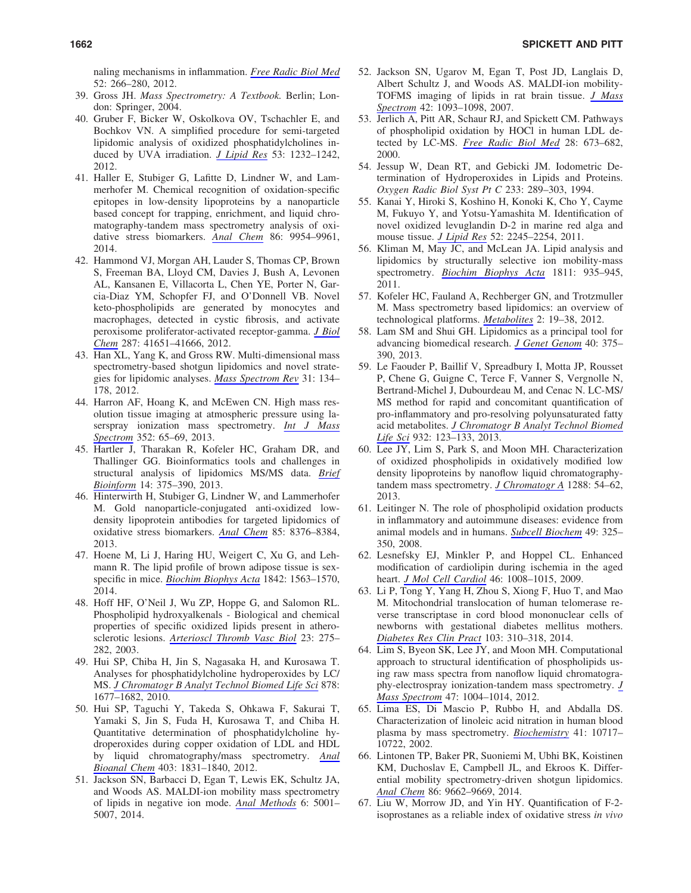naling mechanisms in inflammation. *[Free Radic Biol Med](http://online.liebertpub.com/action/showLinks?pmid=22080084&crossref=10.1016%2Fj.freeradbiomed.2011.10.481)* 52: 266–280, 2012.

- 39. Gross JH. *Mass Spectrometry: A Textbook.* Berlin; London: Springer, 2004.
- 40. Gruber F, Bicker W, Oskolkova OV, Tschachler E, and Bochkov VN. A simplified procedure for semi-targeted lipidomic analysis of oxidized phosphatidylcholines induced by UVA irradiation. *[J Lipid Res](http://online.liebertpub.com/action/showLinks?pmid=22414483&crossref=10.1194%2Fjlr.D025270)* 53: 1232–1242, 2012.
- 41. Haller E, Stubiger G, Lafitte D, Lindner W, and Lammerhofer M. Chemical recognition of oxidation-specific epitopes in low-density lipoproteins by a nanoparticle based concept for trapping, enrichment, and liquid chromatography-tandem mass spectrometry analysis of oxidative stress biomarkers. *[Anal Chem](http://online.liebertpub.com/action/showLinks?pmid=25219896&crossref=10.1021%2Fac502855n)* 86: 9954–9961, 2014.
- 42. Hammond VJ, Morgan AH, Lauder S, Thomas CP, Brown S, Freeman BA, Lloyd CM, Davies J, Bush A, Levonen AL, Kansanen E, Villacorta L, Chen YE, Porter N, Garcia-Diaz YM, Schopfer FJ, and O'Donnell VB. Novel keto-phospholipids are generated by monocytes and macrophages, detected in cystic fibrosis, and activate peroxisome proliferator-activated receptor-gamma. *[J Biol](http://online.liebertpub.com/action/showLinks?pmid=23060450&crossref=10.1074%2Fjbc.M112.405407) [Chem](http://online.liebertpub.com/action/showLinks?pmid=23060450&crossref=10.1074%2Fjbc.M112.405407)* 287: 41651–41666, 2012.
- 43. Han XL, Yang K, and Gross RW. Multi-dimensional mass spectrometry-based shotgun lipidomics and novel strategies for lipidomic analyses. *[Mass Spectrom Rev](http://online.liebertpub.com/action/showLinks?pmid=21755525&crossref=10.1002%2Fmas.20342)* 31: 134– 178, 2012.
- 44. Harron AF, Hoang K, and McEwen CN. High mass resolution tissue imaging at atmospheric pressure using laserspray ionization mass spectrometry. *[Int J Mass](http://online.liebertpub.com/action/showLinks?crossref=10.1016%2Fj.ijms.2013.07.016) [Spectrom](http://online.liebertpub.com/action/showLinks?crossref=10.1016%2Fj.ijms.2013.07.016)* 352: 65–69, 2013.
- 45. Hartler J, Tharakan R, Kofeler HC, Graham DR, and Thallinger GG. Bioinformatics tools and challenges in structural analysis of lipidomics MS/MS data. *[Brief](http://online.liebertpub.com/action/showLinks?pmid=22764120&crossref=10.1093%2Fbib%2Fbbs030) [Bioinform](http://online.liebertpub.com/action/showLinks?pmid=22764120&crossref=10.1093%2Fbib%2Fbbs030)* 14: 375–390, 2013.
- 46. Hinterwirth H, Stubiger G, Lindner W, and Lammerhofer M. Gold nanoparticle-conjugated anti-oxidized lowdensity lipoprotein antibodies for targeted lipidomics of oxidative stress biomarkers. *[Anal Chem](http://online.liebertpub.com/action/showLinks?pmid=23895666&crossref=10.1021%2Fac401778f)* 85: 8376–8384, 2013.
- 47. Hoene M, Li J, Haring HU, Weigert C, Xu G, and Lehmann R. The lipid profile of brown adipose tissue is sexspecific in mice. *[Biochim Biophys Acta](http://online.liebertpub.com/action/showLinks?pmid=25128765&crossref=10.1016%2Fj.bbalip.2014.08.003)* 1842: 1563–1570, 2014.
- 48. Hoff HF, O'Neil J, Wu ZP, Hoppe G, and Salomon RL. Phospholipid hydroxyalkenals - Biological and chemical properties of specific oxidized lipids present in atherosclerotic lesions. *[Arterioscl Thromb Vasc Biol](http://online.liebertpub.com/action/showLinks?pmid=12588771&crossref=10.1161%2F01.ATV.0000051407.42536.73)* 23: 275– 282, 2003.
- 49. Hui SP, Chiba H, Jin S, Nagasaka H, and Kurosawa T. Analyses for phosphatidylcholine hydroperoxides by LC/ MS. *[J Chromatogr B Analyt Technol Biomed Life Sci](http://online.liebertpub.com/action/showLinks?pmid=20478751&crossref=10.1016%2Fj.jchromb.2010.04.011)* 878: 1677–1682, 2010.
- 50. Hui SP, Taguchi Y, Takeda S, Ohkawa F, Sakurai T, Yamaki S, Jin S, Fuda H, Kurosawa T, and Chiba H. Quantitative determination of phosphatidylcholine hydroperoxides during copper oxidation of LDL and HDL by liquid chromatography/mass spectrometry. *[Anal](http://online.liebertpub.com/action/showLinks?pmid=22367245&crossref=10.1007%2Fs00216-012-5833-x) [Bioanal Chem](http://online.liebertpub.com/action/showLinks?pmid=22367245&crossref=10.1007%2Fs00216-012-5833-x)* 403: 1831–1840, 2012.
- 51. Jackson SN, Barbacci D, Egan T, Lewis EK, Schultz JA, and Woods AS. MALDI-ion mobility mass spectrometry of lipids in negative ion mode. *[Anal Methods](http://online.liebertpub.com/action/showLinks?pmid=24999374&crossref=10.1039%2Fc4ay00320a)* 6: 5001– 5007, 2014.
- 52. Jackson SN, Ugarov M, Egan T, Post JD, Langlais D, Albert Schultz J, and Woods AS. MALDI-ion mobility-TOFMS imaging of lipids in rat brain tissue. *[J Mass](http://online.liebertpub.com/action/showLinks?pmid=17621389&crossref=10.1002%2Fjms.1245) [Spectrom](http://online.liebertpub.com/action/showLinks?pmid=17621389&crossref=10.1002%2Fjms.1245)* 42: 1093–1098, 2007.
- 53. Jerlich A, Pitt AR, Schaur RJ, and Spickett CM. Pathways of phospholipid oxidation by HOCl in human LDL detected by LC-MS. *[Free Radic Biol Med](http://online.liebertpub.com/action/showLinks?pmid=10754262&crossref=10.1016%2FS0891-5849%2899%2900273-7)* 28: 673–682, 2000.
- 54. Jessup W, Dean RT, and Gebicki JM. Iodometric Determination of Hydroperoxides in Lipids and Proteins. *Oxygen Radic Biol Syst Pt C* 233: 289–303, 1994.
- 55. Kanai Y, Hiroki S, Koshino H, Konoki K, Cho Y, Cayme M, Fukuyo Y, and Yotsu-Yamashita M. Identification of novel oxidized levuglandin D-2 in marine red alga and mouse tissue. *[J Lipid Res](http://online.liebertpub.com/action/showLinks?pmid=21893678&crossref=10.1194%2Fjlr.M017053)* 52: 2245–2254, 2011.
- 56. Kliman M, May JC, and McLean JA. Lipid analysis and lipidomics by structurally selective ion mobility-mass spectrometry. *[Biochim Biophys Acta](http://online.liebertpub.com/action/showLinks?pmid=21708282&crossref=10.1016%2Fj.bbalip.2011.05.016)* 1811: 935–945, 2011.
- 57. Kofeler HC, Fauland A, Rechberger GN, and Trotzmuller M. Mass spectrometry based lipidomics: an overview of technological platforms. *[Metabolites](http://online.liebertpub.com/action/showLinks?pmid=24957366&crossref=10.3390%2Fmetabo2010019)* 2: 19–38, 2012.
- 58. Lam SM and Shui GH. Lipidomics as a principal tool for advancing biomedical research. *[J Genet Genom](http://online.liebertpub.com/action/showLinks?pmid=23969247&crossref=10.1016%2Fj.jgg.2013.06.007)* 40: 375– 390, 2013.
- 59. Le Faouder P, Baillif V, Spreadbury I, Motta JP, Rousset P, Chene G, Guigne C, Terce F, Vanner S, Vergnolle N, Bertrand-Michel J, Dubourdeau M, and Cenac N. LC-MS/ MS method for rapid and concomitant quantification of pro-inflammatory and pro-resolving polyunsaturated fatty acid metabolites. *[J Chromatogr B Analyt Technol Biomed](http://online.liebertpub.com/action/showLinks?pmid=23831705&crossref=10.1016%2Fj.jchromb.2013.06.014) [Life Sci](http://online.liebertpub.com/action/showLinks?pmid=23831705&crossref=10.1016%2Fj.jchromb.2013.06.014)* 932: 123–133, 2013.
- 60. Lee JY, Lim S, Park S, and Moon MH. Characterization of oxidized phospholipids in oxidatively modified low density lipoproteins by nanoflow liquid chromatographytandem mass spectrometry. *[J Chromatogr A](http://online.liebertpub.com/action/showLinks?pmid=23523068&crossref=10.1016%2Fj.chroma.2013.02.086)* 1288: 54–62, 2013.
- 61. Leitinger N. The role of phospholipid oxidation products in inflammatory and autoimmune diseases: evidence from animal models and in humans. *[Subcell Biochem](http://online.liebertpub.com/action/showLinks?pmid=18751917&crossref=10.1007%2F978-1-4020-8830-8_12)* 49: 325– 350, 2008.
- 62. Lesnefsky EJ, Minkler P, and Hoppel CL. Enhanced modification of cardiolipin during ischemia in the aged heart. *[J Mol Cell Cardiol](http://online.liebertpub.com/action/showLinks?pmid=19303420&crossref=10.1016%2Fj.yjmcc.2009.03.007)* 46: 1008–1015, 2009.
- 63. Li P, Tong Y, Yang H, Zhou S, Xiong F, Huo T, and Mao M. Mitochondrial translocation of human telomerase reverse transcriptase in cord blood mononuclear cells of newborns with gestational diabetes mellitus mothers. *[Diabetes Res Clin Pract](http://online.liebertpub.com/action/showLinks?pmid=24480248&crossref=10.1016%2Fj.diabres.2013.12.024)* 103: 310–318, 2014.
- 64. Lim S, Byeon SK, Lee JY, and Moon MH. Computational approach to structural identification of phospholipids using raw mass spectra from nanoflow liquid chromatography-electrospray ionization-tandem mass spectrometry. *[J](http://online.liebertpub.com/action/showLinks?pmid=22899509&crossref=10.1002%2Fjms.3033) [Mass Spectrom](http://online.liebertpub.com/action/showLinks?pmid=22899509&crossref=10.1002%2Fjms.3033)* 47: 1004–1014, 2012.
- 65. Lima ES, Di Mascio P, Rubbo H, and Abdalla DS. Characterization of linoleic acid nitration in human blood plasma by mass spectrometry. *[Biochemistry](http://online.liebertpub.com/action/showLinks?pmid=12186558&crossref=10.1021%2Fbi025504j)* 41: 10717– 10722, 2002.
- 66. Lintonen TP, Baker PR, Suoniemi M, Ubhi BK, Koistinen KM, Duchoslav E, Campbell JL, and Ekroos K. Differential mobility spectrometry-driven shotgun lipidomics. *[Anal Chem](http://online.liebertpub.com/action/showLinks?pmid=25160652&crossref=10.1021%2Fac5021744)* 86: 9662–9669, 2014.
- 67. Liu W, Morrow JD, and Yin HY. Quantification of F-2 isoprostanes as a reliable index of oxidative stress *in vivo*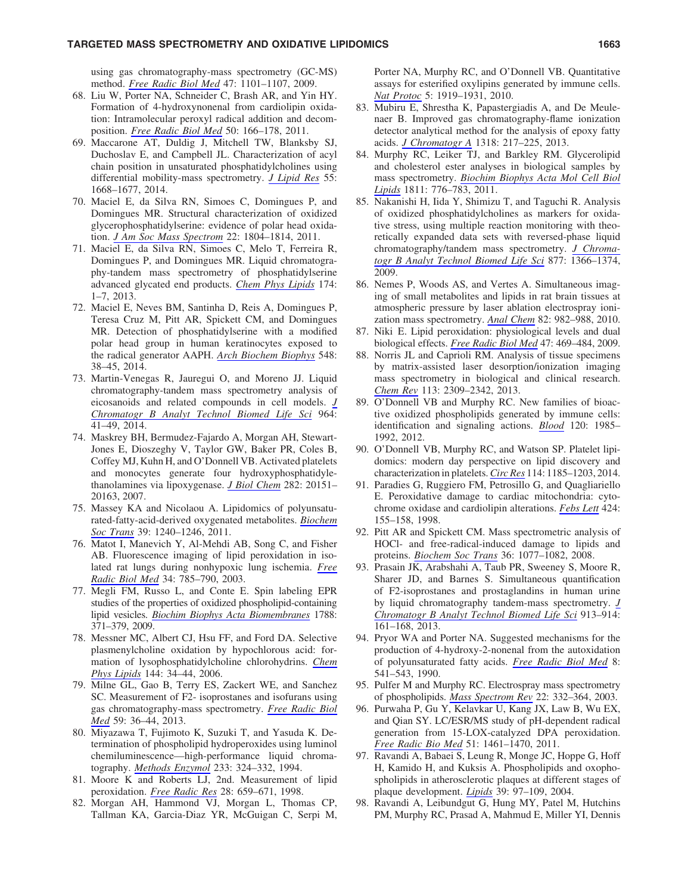## TARGETED MASS SPECTROMETRY AND OXIDATIVE LIPIDOMICS NARROLL 2000 1663

using gas chromatography-mass spectrometry (GC-MS) method. *[Free Radic Biol Med](http://online.liebertpub.com/action/showLinks?pmid=19647073&crossref=10.1016%2Fj.freeradbiomed.2009.07.028)* 47: 1101–1107, 2009.

- 68. Liu W, Porter NA, Schneider C, Brash AR, and Yin HY. Formation of 4-hydroxynonenal from cardiolipin oxidation: Intramolecular peroxyl radical addition and decomposition. *[Free Radic Biol Med](http://online.liebertpub.com/action/showLinks?pmid=21047551&crossref=10.1016%2Fj.freeradbiomed.2010.10.709)* 50: 166–178, 2011.
- 69. Maccarone AT, Duldig J, Mitchell TW, Blanksby SJ, Duchoslav E, and Campbell JL. Characterization of acyl chain position in unsaturated phosphatidylcholines using differential mobility-mass spectrometry. *[J Lipid Res](http://online.liebertpub.com/action/showLinks?pmid=24939921&crossref=10.1194%2Fjlr.M046995)* 55: 1668–1677, 2014.
- 70. Maciel E, da Silva RN, Simoes C, Domingues P, and Domingues MR. Structural characterization of oxidized glycerophosphatidylserine: evidence of polar head oxidation. *[J Am Soc Mass Spectrom](http://online.liebertpub.com/action/showLinks?pmid=21952894&crossref=10.1007%2Fs13361-011-0194-9)* 22: 1804–1814, 2011.
- 71. Maciel E, da Silva RN, Simoes C, Melo T, Ferreira R, Domingues P, and Domingues MR. Liquid chromatography-tandem mass spectrometry of phosphatidylserine advanced glycated end products. *[Chem Phys Lipids](http://online.liebertpub.com/action/showLinks?pmid=23769760&crossref=10.1016%2Fj.chemphyslip.2013.05.005)* 174: 1–7, 2013.
- 72. Maciel E, Neves BM, Santinha D, Reis A, Domingues P, Teresa Cruz M, Pitt AR, Spickett CM, and Domingues MR. Detection of phosphatidylserine with a modified polar head group in human keratinocytes exposed to the radical generator AAPH. *[Arch Biochem Biophys](http://online.liebertpub.com/action/showLinks?pmid=24560783&crossref=10.1016%2Fj.abb.2014.02.002)* 548: 38–45, 2014.
- 73. Martin-Venegas R, Jauregui O, and Moreno JJ. Liquid chromatography-tandem mass spectrometry analysis of eicosanoids and related compounds in cell models. *[J](http://online.liebertpub.com/action/showLinks?pmid=24932539&crossref=10.1016%2Fj.jchromb.2014.05.024) [Chromatogr B Analyt Technol Biomed Life Sci](http://online.liebertpub.com/action/showLinks?pmid=24932539&crossref=10.1016%2Fj.jchromb.2014.05.024)* 964: 41–49, 2014.
- 74. Maskrey BH, Bermudez-Fajardo A, Morgan AH, Stewart-Jones E, Dioszeghy V, Taylor GW, Baker PR, Coles B, Coffey MJ, Kuhn H, and O'Donnell VB. Activated platelets and monocytes generate four hydroxyphosphatidylethanolamines via lipoxygenase. *[J Biol Chem](http://online.liebertpub.com/action/showLinks?pmid=17519227&crossref=10.1074%2Fjbc.M611776200)* 282: 20151– 20163, 2007.
- 75. Massey KA and Nicolaou A. Lipidomics of polyunsaturated-fatty-acid-derived oxygenated metabolites. *[Biochem](http://online.liebertpub.com/action/showLinks?pmid=21936796&crossref=10.1042%2FBST0391240) [Soc Trans](http://online.liebertpub.com/action/showLinks?pmid=21936796&crossref=10.1042%2FBST0391240)* 39: 1240–1246, 2011.
- 76. Matot I, Manevich Y, Al-Mehdi AB, Song C, and Fisher AB. Fluorescence imaging of lipid peroxidation in isolated rat lungs during nonhypoxic lung ischemia. *[Free](http://online.liebertpub.com/action/showLinks?pmid=12633755&crossref=10.1016%2FS0891-5849%2802%2901435-1) [Radic Biol Med](http://online.liebertpub.com/action/showLinks?pmid=12633755&crossref=10.1016%2FS0891-5849%2802%2901435-1)* 34: 785–790, 2003.
- 77. Megli FM, Russo L, and Conte E. Spin labeling EPR studies of the properties of oxidized phospholipid-containing lipid vesicles. *[Biochim Biophys Acta Biomembranes](http://online.liebertpub.com/action/showLinks?pmid=18996354&crossref=10.1016%2Fj.bbamem.2008.10.002)* 1788: 371–379, 2009.
- 78. Messner MC, Albert CJ, Hsu FF, and Ford DA. Selective plasmenylcholine oxidation by hypochlorous acid: formation of lysophosphatidylcholine chlorohydrins. *[Chem](http://online.liebertpub.com/action/showLinks?pmid=16859663&crossref=10.1016%2Fj.chemphyslip.2006.06.003) [Phys Lipids](http://online.liebertpub.com/action/showLinks?pmid=16859663&crossref=10.1016%2Fj.chemphyslip.2006.06.003)* 144: 34–44, 2006.
- 79. Milne GL, Gao B, Terry ES, Zackert WE, and Sanchez SC. Measurement of F2- isoprostanes and isofurans using gas chromatography-mass spectrometry. *[Free Radic Biol](http://online.liebertpub.com/action/showLinks?pmid=23044261&crossref=10.1016%2Fj.freeradbiomed.2012.09.030) [Med](http://online.liebertpub.com/action/showLinks?pmid=23044261&crossref=10.1016%2Fj.freeradbiomed.2012.09.030)* 59: 36–44, 2013.
- 80. Miyazawa T, Fujimoto K, Suzuki T, and Yasuda K. Determination of phospholipid hydroperoxides using luminol chemiluminescence—high-performance liquid chromatography. *[Methods Enzymol](http://online.liebertpub.com/action/showLinks?pmid=8015467&crossref=10.1016%2FS0076-6879%2894%2933037-9)* 233: 324–332, 1994.
- 81. Moore K and Roberts LJ, 2nd. Measurement of lipid peroxidation. *[Free Radic Res](http://online.liebertpub.com/action/showLinks?pmid=9736317&crossref=10.3109%2F10715769809065821)* 28: 659–671, 1998.
- 82. Morgan AH, Hammond VJ, Morgan L, Thomas CP, Tallman KA, Garcia-Diaz YR, McGuigan C, Serpi M,

Porter NA, Murphy RC, and O'Donnell VB. Quantitative assays for esterified oxylipins generated by immune cells. *[Nat Protoc](http://online.liebertpub.com/action/showLinks?pmid=21127486&crossref=10.1038%2Fnprot.2010.162)* 5: 1919–1931, 2010.

- 83. Mubiru E, Shrestha K, Papastergiadis A, and De Meulenaer B. Improved gas chromatography-flame ionization detector analytical method for the analysis of epoxy fatty acids. *[J Chromatogr A](http://online.liebertpub.com/action/showLinks?pmid=24161147&crossref=10.1016%2Fj.chroma.2013.10.025)* 1318: 217–225, 2013.
- 84. Murphy RC, Leiker TJ, and Barkley RM. Glycerolipid and cholesterol ester analyses in biological samples by mass spectrometry. *[Biochim Biophys Acta Mol Cell Biol](http://online.liebertpub.com/action/showLinks?pmid=21757029&crossref=10.1016%2Fj.bbalip.2011.06.019) [Lipids](http://online.liebertpub.com/action/showLinks?pmid=21757029&crossref=10.1016%2Fj.bbalip.2011.06.019)* 1811: 776–783, 2011.
- 85. Nakanishi H, Iida Y, Shimizu T, and Taguchi R. Analysis of oxidized phosphatidylcholines as markers for oxidative stress, using multiple reaction monitoring with theoretically expanded data sets with reversed-phase liquid chromatography/tandem mass spectrometry. *[J Chroma](http://online.liebertpub.com/action/showLinks?pmid=18964370&crossref=10.1016%2Fj.jchromb.2008.09.041)[togr B Analyt Technol Biomed Life Sci](http://online.liebertpub.com/action/showLinks?pmid=18964370&crossref=10.1016%2Fj.jchromb.2008.09.041)* 877: 1366–1374, 2009.
- 86. Nemes P, Woods AS, and Vertes A. Simultaneous imaging of small metabolites and lipids in rat brain tissues at atmospheric pressure by laser ablation electrospray ionization mass spectrometry. *[Anal Chem](http://online.liebertpub.com/action/showLinks?pmid=20050678&crossref=10.1021%2Fac902245p)* 82: 982–988, 2010.
- 87. Niki E. Lipid peroxidation: physiological levels and dual biological effects. *[Free Radic Biol Med](http://online.liebertpub.com/action/showLinks?pmid=19500666&crossref=10.1016%2Fj.freeradbiomed.2009.05.032)* 47: 469–484, 2009.
- 88. Norris JL and Caprioli RM. Analysis of tissue specimens by matrix-assisted laser desorption/ionization imaging mass spectrometry in biological and clinical research. *[Chem Rev](http://online.liebertpub.com/action/showLinks?pmid=23394164&crossref=10.1021%2Fcr3004295)* 113: 2309–2342, 2013.
- 89. O'Donnell VB and Murphy RC. New families of bioactive oxidized phospholipids generated by immune cells: identification and signaling actions. *[Blood](http://online.liebertpub.com/action/showLinks?pmid=22802337&crossref=10.1182%2Fblood-2012-04-402826)* 120: 1985– 1992, 2012.
- 90. O'Donnell VB, Murphy RC, and Watson SP. Platelet lipidomics: modern day perspective on lipid discovery and characterization in platelets.*[Circ Res](http://online.liebertpub.com/action/showLinks?pmid=24677238&crossref=10.1161%2FCIRCRESAHA.114.301597)* 114: 1185–1203, 2014.
- 91. Paradies G, Ruggiero FM, Petrosillo G, and Quagliariello E. Peroxidative damage to cardiac mitochondria: cytochrome oxidase and cardiolipin alterations. *[Febs Lett](http://online.liebertpub.com/action/showLinks?pmid=9539141&crossref=10.1016%2FS0014-5793%2898%2900161-6)* 424: 155–158, 1998.
- 92. Pitt AR and Spickett CM. Mass spectrometric analysis of HOCl- and free-radical-induced damage to lipids and proteins. *[Biochem Soc Trans](http://online.liebertpub.com/action/showLinks?pmid=18793192&crossref=10.1042%2FBST0361077)* 36: 1077–1082, 2008.
- 93. Prasain JK, Arabshahi A, Taub PR, Sweeney S, Moore R, Sharer JD, and Barnes S. Simultaneous quantification of F2-isoprostanes and prostaglandins in human urine by liquid chromatography tandem-mass spectrometry. *[J](http://online.liebertpub.com/action/showLinks?pmid=23314354&crossref=10.1016%2Fj.jchromb.2012.12.009) [Chromatogr B Analyt Technol Biomed Life Sci](http://online.liebertpub.com/action/showLinks?pmid=23314354&crossref=10.1016%2Fj.jchromb.2012.12.009)* 913–914:  $161-168$ , 2013.
- 94. Pryor WA and Porter NA. Suggested mechanisms for the production of 4-hydroxy-2-nonenal from the autoxidation of polyunsaturated fatty acids. *[Free Radic Biol Med](http://online.liebertpub.com/action/showLinks?pmid=2193853&crossref=10.1016%2F0891-5849%2890%2990153-A)* 8: 541–543, 1990.
- 95. Pulfer M and Murphy RC. Electrospray mass spectrometry of phospholipids. *[Mass Spectrom Rev](http://online.liebertpub.com/action/showLinks?pmid=12949918&crossref=10.1002%2Fmas.10061)* 22: 332–364, 2003.
- 96. Purwaha P, Gu Y, Kelavkar U, Kang JX, Law B, Wu EX, and Qian SY. LC/ESR/MS study of pH-dependent radical generation from 15-LOX-catalyzed DPA peroxidation. *[Free Radic Bio Med](http://online.liebertpub.com/action/showLinks?pmid=21807091&crossref=10.1016%2Fj.freeradbiomed.2011.07.001)* 51: 1461–1470, 2011.
- 97. Ravandi A, Babaei S, Leung R, Monge JC, Hoppe G, Hoff H, Kamido H, and Kuksis A. Phospholipids and oxophospholipids in atherosclerotic plaques at different stages of plaque development. *[Lipids](http://online.liebertpub.com/action/showLinks?pmid=15134136)* 39: 97–109, 2004.
- 98. Ravandi A, Leibundgut G, Hung MY, Patel M, Hutchins PM, Murphy RC, Prasad A, Mahmud E, Miller YI, Dennis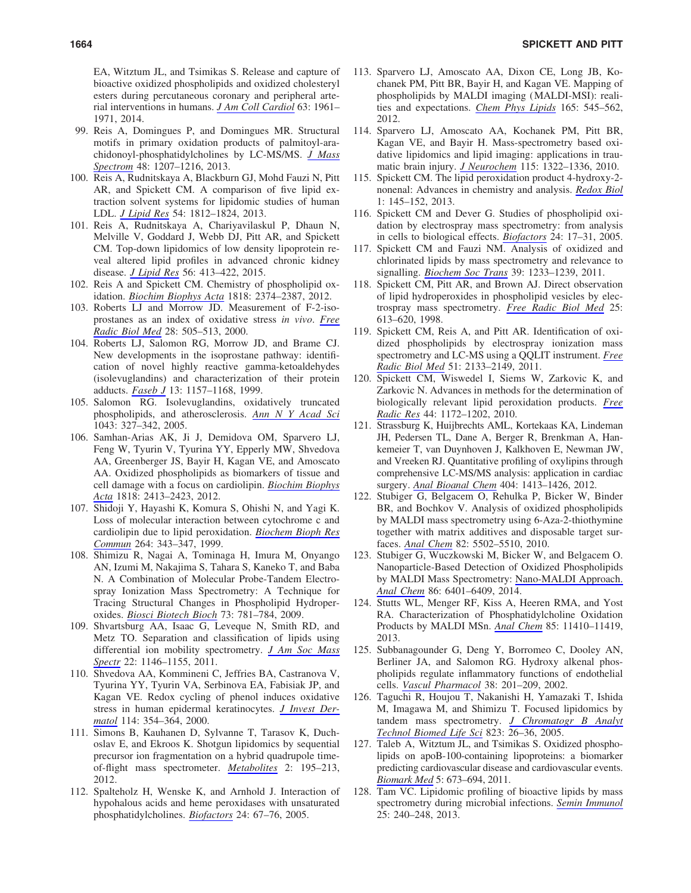EA, Witztum JL, and Tsimikas S. Release and capture of bioactive oxidized phospholipids and oxidized cholesteryl esters during percutaneous coronary and peripheral arterial interventions in humans. *[J Am Coll Cardiol](http://online.liebertpub.com/action/showLinks?pmid=24613321&crossref=10.1016%2Fj.jacc.2014.01.055)* 63: 1961– 1971, 2014.

- 99. Reis A, Domingues P, and Domingues MR. Structural motifs in primary oxidation products of palmitoyl-arachidonoyl-phosphatidylcholines by LC-MS/MS. *[J Mass](http://online.liebertpub.com/action/showLinks?pmid=24259209&crossref=10.1002%2Fjms.3280) [Spectrom](http://online.liebertpub.com/action/showLinks?pmid=24259209&crossref=10.1002%2Fjms.3280)* 48: 1207–1216, 2013.
- 100. Reis A, Rudnitskaya A, Blackburn GJ, Mohd Fauzi N, Pitt AR, and Spickett CM. A comparison of five lipid extraction solvent systems for lipidomic studies of human LDL. *[J Lipid Res](http://online.liebertpub.com/action/showLinks?pmid=23670529&crossref=10.1194%2Fjlr.M034330)* 54: 1812–1824, 2013.
- 101. Reis A, Rudnitskaya A, Chariyavilaskul P, Dhaun N, Melville V, Goddard J, Webb DJ, Pitt AR, and Spickett CM. Top-down lipidomics of low density lipoprotein reveal altered lipid profiles in advanced chronic kidney disease. *[J Lipid Res](http://online.liebertpub.com/action/showLinks?pmid=25424003&crossref=10.1194%2Fjlr.M055624)* 56: 413–422, 2015.
- 102. Reis A and Spickett CM. Chemistry of phospholipid oxidation. *[Biochim Biophys Acta](http://online.liebertpub.com/action/showLinks?pmid=22342938&crossref=10.1016%2Fj.bbamem.2012.02.002)* 1818: 2374–2387, 2012.
- 103. Roberts LJ and Morrow JD. Measurement of F-2-isoprostanes as an index of oxidative stress *in vivo*. *[Free](http://online.liebertpub.com/action/showLinks?pmid=10719231&crossref=10.1016%2FS0891-5849%2899%2900264-6) [Radic Biol Med](http://online.liebertpub.com/action/showLinks?pmid=10719231&crossref=10.1016%2FS0891-5849%2899%2900264-6)* 28: 505–513, 2000.
- 104. Roberts LJ, Salomon RG, Morrow JD, and Brame CJ. New developments in the isoprostane pathway: identification of novel highly reactive gamma-ketoaldehydes (isolevuglandins) and characterization of their protein adducts. *[Faseb J](http://online.liebertpub.com/action/showLinks?pmid=10385607)* 13: 1157–1168, 1999.
- 105. Salomon RG. Isolevuglandins, oxidatively truncated phospholipids, and atherosclerosis. *[Ann N Y Acad Sci](http://online.liebertpub.com/action/showLinks?pmid=16037255&crossref=10.1196%2Fannals.1333.040)* 1043: 327–342, 2005.
- 106. Samhan-Arias AK, Ji J, Demidova OM, Sparvero LJ, Feng W, Tyurin V, Tyurina YY, Epperly MW, Shvedova AA, Greenberger JS, Bayir H, Kagan VE, and Amoscato AA. Oxidized phospholipids as biomarkers of tissue and cell damage with a focus on cardiolipin. *[Biochim Biophys](http://online.liebertpub.com/action/showLinks?pmid=22464971&crossref=10.1016%2Fj.bbamem.2012.03.014) [Acta](http://online.liebertpub.com/action/showLinks?pmid=22464971&crossref=10.1016%2Fj.bbamem.2012.03.014)* 1818: 2413–2423, 2012.
- 107. Shidoji Y, Hayashi K, Komura S, Ohishi N, and Yagi K. Loss of molecular interaction between cytochrome c and cardiolipin due to lipid peroxidation. *[Biochem Bioph Res](http://online.liebertpub.com/action/showLinks?pmid=10529366&crossref=10.1006%2Fbbrc.1999.1410) [Commun](http://online.liebertpub.com/action/showLinks?pmid=10529366&crossref=10.1006%2Fbbrc.1999.1410)* 264: 343–347, 1999.
- 108. Shimizu R, Nagai A, Tominaga H, Imura M, Onyango AN, Izumi M, Nakajima S, Tahara S, Kaneko T, and Baba N. A Combination of Molecular Probe-Tandem Electrospray Ionization Mass Spectrometry: A Technique for Tracing Structural Changes in Phospholipid Hydroperoxides. *[Biosci Biotech Bioch](http://online.liebertpub.com/action/showLinks?pmid=19270364&crossref=10.1271%2Fbbb.80672)* 73: 781–784, 2009.
- 109. Shvartsburg AA, Isaac G, Leveque N, Smith RD, and Metz TO. Separation and classification of lipids using differential ion mobility spectrometry. *[J Am Soc Mass](http://online.liebertpub.com/action/showLinks?pmid=21953096&crossref=10.1007%2Fs13361-011-0114-z) [Spectr](http://online.liebertpub.com/action/showLinks?pmid=21953096&crossref=10.1007%2Fs13361-011-0114-z)* 22: 1146–1155, 2011.
- 110. Shvedova AA, Kommineni C, Jeffries BA, Castranova V, Tyurina YY, Tyurin VA, Serbinova EA, Fabisiak JP, and Kagan VE. Redox cycling of phenol induces oxidative stress in human epidermal keratinocytes. *[J Invest Der](http://online.liebertpub.com/action/showLinks?pmid=10651998&crossref=10.1046%2Fj.1523-1747.2000.00865.x)[matol](http://online.liebertpub.com/action/showLinks?pmid=10651998&crossref=10.1046%2Fj.1523-1747.2000.00865.x)* 114: 354–364, 2000.
- 111. Simons B, Kauhanen D, Sylvanne T, Tarasov K, Duchoslav E, and Ekroos K. Shotgun lipidomics by sequential precursor ion fragmentation on a hybrid quadrupole timeof-flight mass spectrometer. *[Metabolites](http://online.liebertpub.com/action/showLinks?pmid=24957374&crossref=10.3390%2Fmetabo2010195)* 2: 195–213, 2012.
- 112. Spalteholz H, Wenske K, and Arnhold J. Interaction of hypohalous acids and heme peroxidases with unsaturated phosphatidylcholines. *[Biofactors](http://online.liebertpub.com/action/showLinks?pmid=16403965&crossref=10.1002%2Fbiof.5520240108)* 24: 67–76, 2005.
- 113. Sparvero LJ, Amoscato AA, Dixon CE, Long JB, Kochanek PM, Pitt BR, Bayir H, and Kagan VE. Mapping of phospholipids by MALDI imaging (MALDI-MSI): realities and expectations. *[Chem Phys Lipids](http://online.liebertpub.com/action/showLinks?pmid=22692104&crossref=10.1016%2Fj.chemphyslip.2012.06.001)* 165: 545–562, 2012.
- 114. Sparvero LJ, Amoscato AA, Kochanek PM, Pitt BR, Kagan VE, and Bayir H. Mass-spectrometry based oxidative lipidomics and lipid imaging: applications in traumatic brain injury. *[J Neurochem](http://online.liebertpub.com/action/showLinks?pmid=20950335&crossref=10.1111%2Fj.1471-4159.2010.07055.x)* 115: 1322–1336, 2010.
- 115. Spickett CM. The lipid peroxidation product 4-hydroxy-2 nonenal: Advances in chemistry and analysis. *[Redox Biol](http://online.liebertpub.com/action/showLinks?pmid=24024147&crossref=10.1016%2Fj.redox.2013.01.007)* 1: 145–152, 2013.
- 116. Spickett CM and Dever G. Studies of phospholipid oxidation by electrospray mass spectrometry: from analysis in cells to biological effects. *[Biofactors](http://online.liebertpub.com/action/showLinks?pmid=16403960&crossref=10.1002%2Fbiof.5520240103)* 24: 17–31, 2005.
- 117. Spickett CM and Fauzi NM. Analysis of oxidized and chlorinated lipids by mass spectrometry and relevance to signalling. *[Biochem Soc Trans](http://online.liebertpub.com/action/showLinks?pmid=21936795&crossref=10.1042%2FBST0391233)* 39: 1233–1239, 2011.
- 118. Spickett CM, Pitt AR, and Brown AJ. Direct observation of lipid hydroperoxides in phospholipid vesicles by electrospray mass spectrometry. *[Free Radic Biol Med](http://online.liebertpub.com/action/showLinks?pmid=9741599&crossref=10.1016%2FS0891-5849%2898%2900074-4)* 25: 613–620, 1998.
- 119. Spickett CM, Reis A, and Pitt AR. Identification of oxidized phospholipids by electrospray ionization mass spectrometry and LC-MS using a QQLIT instrument. *[Free](http://online.liebertpub.com/action/showLinks?pmid=21983435&crossref=10.1016%2Fj.freeradbiomed.2011.09.003) [Radic Biol Med](http://online.liebertpub.com/action/showLinks?pmid=21983435&crossref=10.1016%2Fj.freeradbiomed.2011.09.003)* 51: 2133–2149, 2011.
- 120. Spickett CM, Wiswedel I, Siems W, Zarkovic K, and Zarkovic N. Advances in methods for the determination of biologically relevant lipid peroxidation products. *[Free](http://online.liebertpub.com/action/showLinks?pmid=20836661&crossref=10.3109%2F10715762.2010.498476) [Radic Res](http://online.liebertpub.com/action/showLinks?pmid=20836661&crossref=10.3109%2F10715762.2010.498476)* 44: 1172–1202, 2010.
- 121. Strassburg K, Huijbrechts AML, Kortekaas KA, Lindeman JH, Pedersen TL, Dane A, Berger R, Brenkman A, Hankemeier T, van Duynhoven J, Kalkhoven E, Newman JW, and Vreeken RJ. Quantitative profiling of oxylipins through comprehensive LC-MS/MS analysis: application in cardiac surgery. *[Anal Bioanal Chem](http://online.liebertpub.com/action/showLinks?pmid=22814969&crossref=10.1007%2Fs00216-012-6226-x)* 404: 1413–1426, 2012.
- 122. Stubiger G, Belgacem O, Rehulka P, Bicker W, Binder BR, and Bochkov V. Analysis of oxidized phospholipids by MALDI mass spectrometry using 6-Aza-2-thiothymine together with matrix additives and disposable target surfaces. *[Anal Chem](http://online.liebertpub.com/action/showLinks?pmid=20533831&crossref=10.1021%2Fac100280p)* 82: 5502–5510, 2010.
- 123. Stubiger G, Wuczkowski M, Bicker W, and Belgacem O. Nanoparticle-Based Detection of Oxidized Phospholipids by MALDI Mass Spectrometry: [Nano-MALDI Approach.](http://online.liebertpub.com/action/showLinks?pmid=24914456&crossref=10.1021%2Fac500719u) *[Anal Chem](http://online.liebertpub.com/action/showLinks?pmid=24914456&crossref=10.1021%2Fac500719u)* 86: 6401–6409, 2014.
- 124. Stutts WL, Menger RF, Kiss A, Heeren RMA, and Yost RA. Characterization of Phosphatidylcholine Oxidation Products by MALDI MSn. *[Anal Chem](http://online.liebertpub.com/action/showLinks?pmid=24180376&crossref=10.1021%2Fac402400f)* 85: 11410–11419, 2013.
- 125. Subbanagounder G, Deng Y, Borromeo C, Dooley AN, Berliner JA, and Salomon RG. Hydroxy alkenal phospholipids regulate inflammatory functions of endothelial cells. *[Vascul Pharmacol](http://online.liebertpub.com/action/showLinks?pmid=12449016&crossref=10.1016%2FS1537-1891%2802%2900170-2)* 38: 201–209, 2002.
- 126. Taguchi R, Houjou T, Nakanishi H, Yamazaki T, Ishida M, Imagawa M, and Shimizu T. Focused lipidomics by tandem mass spectrometry. *[J Chromatogr B Analyt](http://online.liebertpub.com/action/showLinks?pmid=15990370&crossref=10.1016%2Fj.jchromb.2005.06.005) [Technol Biomed Life Sci](http://online.liebertpub.com/action/showLinks?pmid=15990370&crossref=10.1016%2Fj.jchromb.2005.06.005)* 823: 26–36, 2005.
- 127. Taleb A, Witztum JL, and Tsimikas S. Oxidized phospholipids on apoB-100-containing lipoproteins: a biomarker predicting cardiovascular disease and cardiovascular events. *[Biomark Med](http://online.liebertpub.com/action/showLinks?pmid=22003918&crossref=10.2217%2Fbmm.11.60)* 5: 673–694, 2011.
- 128. Tam VC. Lipidomic profiling of bioactive lipids by mass spectrometry during microbial infections. *[Semin Immunol](http://online.liebertpub.com/action/showLinks?pmid=24084369&crossref=10.1016%2Fj.smim.2013.08.006)* 25: 240–248, 2013.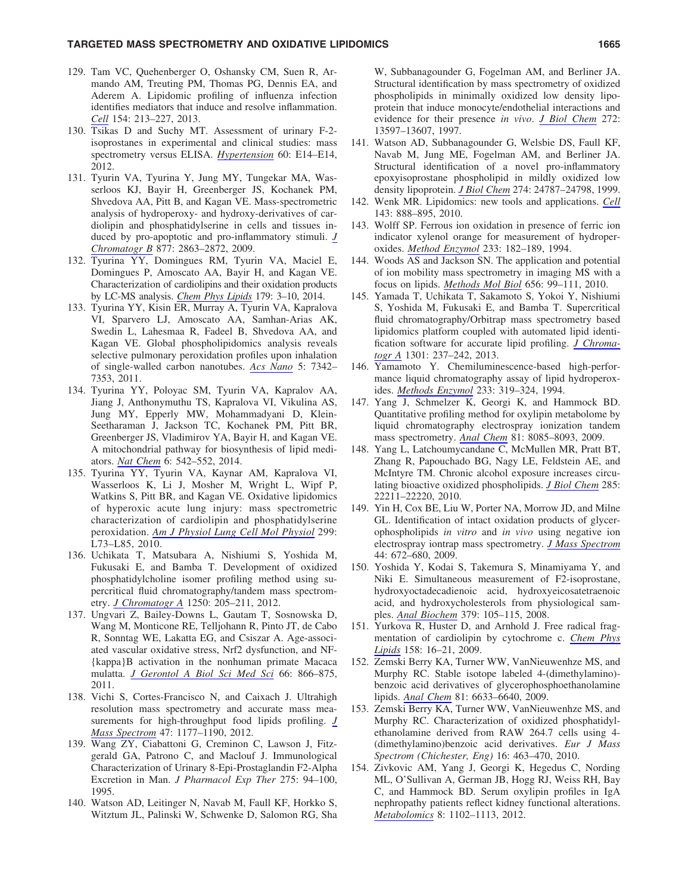## TARGETED MASS SPECTROMETRY AND OXIDATIVE LIPIDOMICS NARROLL 2000 1665

- 129. Tam VC, Quehenberger O, Oshansky CM, Suen R, Armando AM, Treuting PM, Thomas PG, Dennis EA, and Aderem A. Lipidomic profiling of influenza infection identifies mediators that induce and resolve inflammation. *[Cell](http://online.liebertpub.com/action/showLinks?pmid=23827684&crossref=10.1016%2Fj.cell.2013.05.052)* 154: 213–227, 2013.
- 130. Tsikas D and Suchy MT. Assessment of urinary F-2 isoprostanes in experimental and clinical studies: mass spectrometry versus ELISA. *[Hypertension](http://online.liebertpub.com/action/showLinks?pmid=22753209&crossref=10.1161%2FHYPERTENSIONAHA.112.199315)* 60: E14–E14, 2012.
- 131. Tyurin VA, Tyurina Y, Jung MY, Tungekar MA, Wasserloos KJ, Bayir H, Greenberger JS, Kochanek PM, Shvedova AA, Pitt B, and Kagan VE. Mass-spectrometric analysis of hydroperoxy- and hydroxy-derivatives of cardiolipin and phosphatidylserine in cells and tissues induced by pro-apoptotic and pro-inflammatory stimuli. *[J](http://online.liebertpub.com/action/showLinks?crossref=10.1016%2Fj.jchromb.2009.03.007) [Chromatogr B](http://online.liebertpub.com/action/showLinks?crossref=10.1016%2Fj.jchromb.2009.03.007)* 877: 2863–2872, 2009.
- 132. Tyurina YY, Domingues RM, Tyurin VA, Maciel E, Domingues P, Amoscato AA, Bayir H, and Kagan VE. Characterization of cardiolipins and their oxidation products by LC-MS analysis. *[Chem Phys Lipids](http://online.liebertpub.com/action/showLinks?pmid=24333544&crossref=10.1016%2Fj.chemphyslip.2013.12.003)* 179: 3–10, 2014.
- 133. Tyurina YY, Kisin ER, Murray A, Tyurin VA, Kapralova VI, Sparvero LJ, Amoscato AA, Samhan-Arias AK, Swedin L, Lahesmaa R, Fadeel B, Shvedova AA, and Kagan VE. Global phospholipidomics analysis reveals selective pulmonary peroxidation profiles upon inhalation of single-walled carbon nanotubes. *[Acs Nano](http://online.liebertpub.com/action/showLinks?pmid=21800898&crossref=10.1021%2Fnn202201j)* 5: 7342– 7353, 2011.
- 134. Tyurina YY, Poloyac SM, Tyurin VA, Kapralov AA, Jiang J, Anthonymuthu TS, Kapralova VI, Vikulina AS, Jung MY, Epperly MW, Mohammadyani D, Klein-Seetharaman J, Jackson TC, Kochanek PM, Pitt BR, Greenberger JS, Vladimirov YA, Bayir H, and Kagan VE. A mitochondrial pathway for biosynthesis of lipid mediators. *[Nat Chem](http://online.liebertpub.com/action/showLinks?pmid=24848241&crossref=10.1038%2Fnchem.1924)* 6: 542–552, 2014.
- 135. Tyurina YY, Tyurin VA, Kaynar AM, Kapralova VI, Wasserloos K, Li J, Mosher M, Wright L, Wipf P, Watkins S, Pitt BR, and Kagan VE. Oxidative lipidomics of hyperoxic acute lung injury: mass spectrometric characterization of cardiolipin and phosphatidylserine peroxidation. *[Am J Physiol Lung Cell Mol Physiol](http://online.liebertpub.com/action/showLinks?pmid=20418384&crossref=10.1152%2Fajplung.00035.2010)* 299: L73–L85, 2010.
- 136. Uchikata T, Matsubara A, Nishiumi S, Yoshida M, Fukusaki E, and Bamba T. Development of oxidized phosphatidylcholine isomer profiling method using supercritical fluid chromatography/tandem mass spectrometry. *[J Chromatogr A](http://online.liebertpub.com/action/showLinks?pmid=22717033&crossref=10.1016%2Fj.chroma.2012.05.083)* 1250: 205–211, 2012.
- 137. Ungvari Z, Bailey-Downs L, Gautam T, Sosnowska D, Wang M, Monticone RE, Telljohann R, Pinto JT, de Cabo R, Sonntag WE, Lakatta EG, and Csiszar A. Age-associated vascular oxidative stress, Nrf2 dysfunction, and NF- {kappa}B activation in the nonhuman primate Macaca mulatta. *[J Gerontol A Biol Sci Med Sci](http://online.liebertpub.com/action/showLinks?pmid=21622983&crossref=10.1093%2Fgerona%2Fglr092)* 66: 866–875, 2011.
- 138. Vichi S, Cortes-Francisco N, and Caixach J. Ultrahigh resolution mass spectrometry and accurate mass measurements for high-throughput food lipids profiling. *[J](http://online.liebertpub.com/action/showLinks?pmid=22972786&crossref=10.1002%2Fjms.3017) [Mass Spectrom](http://online.liebertpub.com/action/showLinks?pmid=22972786&crossref=10.1002%2Fjms.3017)* 47: 1177–1190, 2012.
- 139. Wang ZY, Ciabattoni G, Creminon C, Lawson J, Fitzgerald GA, Patrono C, and Maclouf J. Immunological Characterization of Urinary 8-Epi-Prostaglandin F2-Alpha Excretion in Man. *J Pharmacol Exp Ther* 275: 94–100, 1995.
- 140. Watson AD, Leitinger N, Navab M, Faull KF, Horkko S, Witztum JL, Palinski W, Schwenke D, Salomon RG, Sha

W, Subbanagounder G, Fogelman AM, and Berliner JA. Structural identification by mass spectrometry of oxidized phospholipids in minimally oxidized low density lipoprotein that induce monocyte/endothelial interactions and evidence for their presence *in vivo*. *[J Biol Chem](http://online.liebertpub.com/action/showLinks?pmid=9153208&crossref=10.1074%2Fjbc.272.21.13597)* 272: 13597–13607, 1997.

- 141. Watson AD, Subbanagounder G, Welsbie DS, Faull KF, Navab M, Jung ME, Fogelman AM, and Berliner JA. Structural identification of a novel pro-inflammatory epoxyisoprostane phospholipid in mildly oxidized low density lipoprotein. *[J Biol Chem](http://online.liebertpub.com/action/showLinks?pmid=10455151&crossref=10.1074%2Fjbc.274.35.24787)* 274: 24787–24798, 1999.
- 142. Wenk MR. Lipidomics: new tools and applications. *[Cell](http://online.liebertpub.com/action/showLinks?pmid=21145456&crossref=10.1016%2Fj.cell.2010.11.033)* 143: 888–895, 2010.
- 143. Wolff SP. Ferrous ion oxidation in presence of ferric ion indicator xylenol orange for measurement of hydroperoxides. *[Method Enzymol](http://online.liebertpub.com/action/showLinks?crossref=10.1016%2FS0076-6879%2894%2933021-2)* 233: 182–189, 1994.
- 144. Woods AS and Jackson SN. The application and potential of ion mobility mass spectrometry in imaging MS with a focus on lipids. *[Methods Mol Biol](http://online.liebertpub.com/action/showLinks?pmid=20680586&crossref=10.1007%2F978-1-60761-746-4_5)* 656: 99–111, 2010.
- 145. Yamada T, Uchikata T, Sakamoto S, Yokoi Y, Nishiumi S, Yoshida M, Fukusaki E, and Bamba T. Supercritical fluid chromatography/Orbitrap mass spectrometry based lipidomics platform coupled with automated lipid identification software for accurate lipid profiling. *[J Chroma](http://online.liebertpub.com/action/showLinks?pmid=23809844&crossref=10.1016%2Fj.chroma.2013.05.057)[togr A](http://online.liebertpub.com/action/showLinks?pmid=23809844&crossref=10.1016%2Fj.chroma.2013.05.057)* 1301: 237–242, 2013.
- 146. Yamamoto Y. Chemiluminescence-based high-performance liquid chromatography assay of lipid hydroperoxides. *[Methods Enzymol](http://online.liebertpub.com/action/showLinks?pmid=8015466&crossref=10.1016%2FS0076-6879%2894%2933036-0)* 233: 319–324, 1994.
- 147. Yang J, Schmelzer K, Georgi K, and Hammock BD. Quantitative profiling method for oxylipin metabolome by liquid chromatography electrospray ionization tandem mass spectrometry. *[Anal Chem](http://online.liebertpub.com/action/showLinks?pmid=19715299&crossref=10.1021%2Fac901282n)* 81: 8085–8093, 2009.
- 148. Yang L, Latchoumycandane C, McMullen MR, Pratt BT, Zhang R, Papouchado BG, Nagy LE, Feldstein AE, and McIntyre TM. Chronic alcohol exposure increases circulating bioactive oxidized phospholipids. *[J Biol Chem](http://online.liebertpub.com/action/showLinks?pmid=20460374&crossref=10.1074%2Fjbc.M110.119982)* 285: 22211–22220, 2010.
- 149. Yin H, Cox BE, Liu W, Porter NA, Morrow JD, and Milne GL. Identification of intact oxidation products of glycerophospholipids *in vitro* and *in vivo* using negative ion electrospray iontrap mass spectrometry. *[J Mass Spectrom](http://online.liebertpub.com/action/showLinks?pmid=19125398&crossref=10.1002%2Fjms.1542)* 44: 672–680, 2009.
- 150. Yoshida Y, Kodai S, Takemura S, Minamiyama Y, and Niki E. Simultaneous measurement of F2-isoprostane, hydroxyoctadecadienoic acid, hydroxyeicosatetraenoic acid, and hydroxycholesterols from physiological samples. *[Anal Biochem](http://online.liebertpub.com/action/showLinks?pmid=18482573&crossref=10.1016%2Fj.ab.2008.04.028)* 379: 105–115, 2008.
- 151. Yurkova R, Huster D, and Arnhold J. Free radical fragmentation of cardiolipin by cytochrome c. *[Chem Phys](http://online.liebertpub.com/action/showLinks?pmid=18983994&crossref=10.1016%2Fj.chemphyslip.2008.09.005) [Lipids](http://online.liebertpub.com/action/showLinks?pmid=18983994&crossref=10.1016%2Fj.chemphyslip.2008.09.005)* 158: 16–21, 2009.
- 152. Zemski Berry KA, Turner WW, VanNieuwenhze MS, and Murphy RC. Stable isotope labeled 4-(dimethylamino) benzoic acid derivatives of glycerophosphoethanolamine lipids. *[Anal Chem](http://online.liebertpub.com/action/showLinks?pmid=20337376&crossref=10.1021%2Fac900583a)* 81: 6633–6640, 2009.
- 153. Zemski Berry KA, Turner WW, VanNieuwenhze MS, and Murphy RC. Characterization of oxidized phosphatidylethanolamine derived from RAW 264.7 cells using 4- (dimethylamino)benzoic acid derivatives. *Eur J Mass Spectrom (Chichester, Eng)* 16: 463–470, 2010.
- 154. Zivkovic AM, Yang J, Georgi K, Hegedus C, Nording ML, O'Sullivan A, German JB, Hogg RJ, Weiss RH, Bay C, and Hammock BD. Serum oxylipin profiles in IgA nephropathy patients reflect kidney functional alterations. *[Metabolomics](http://online.liebertpub.com/action/showLinks?pmid=23833568&crossref=10.1007%2Fs11306-012-0417-5)* 8: 1102–1113, 2012.